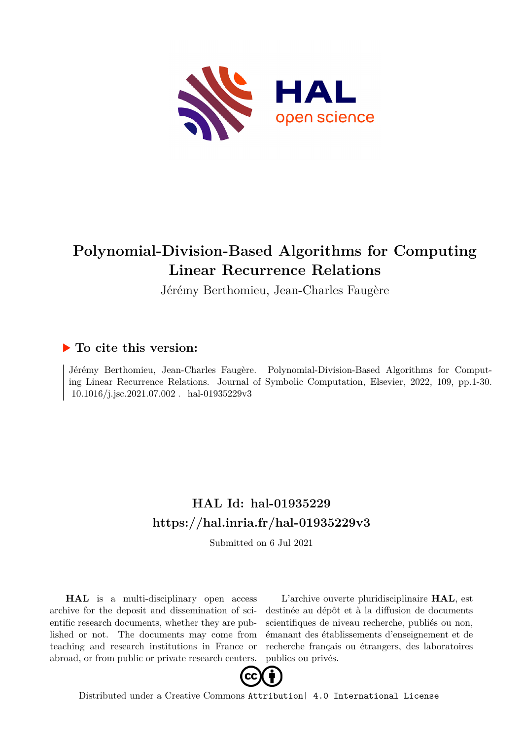

# **Polynomial-Division-Based Algorithms for Computing Linear Recurrence Relations**

Jérémy Berthomieu, Jean-Charles Faugère

# **To cite this version:**

Jérémy Berthomieu, Jean-Charles Faugère. Polynomial-Division-Based Algorithms for Computing Linear Recurrence Relations. Journal of Symbolic Computation, Elsevier, 2022, 109, pp.1-30.  $10.1016/j.jsc.2021.07.002$ . hal-01935229v3

# **HAL Id: hal-01935229 <https://hal.inria.fr/hal-01935229v3>**

Submitted on 6 Jul 2021

**HAL** is a multi-disciplinary open access archive for the deposit and dissemination of scientific research documents, whether they are published or not. The documents may come from teaching and research institutions in France or abroad, or from public or private research centers.

L'archive ouverte pluridisciplinaire **HAL**, est destinée au dépôt et à la diffusion de documents scientifiques de niveau recherche, publiés ou non, émanant des établissements d'enseignement et de recherche français ou étrangers, des laboratoires publics ou privés.



Distributed under a Creative Commons [Attribution| 4.0 International License](http://creativecommons.org/licenses/by/4.0/)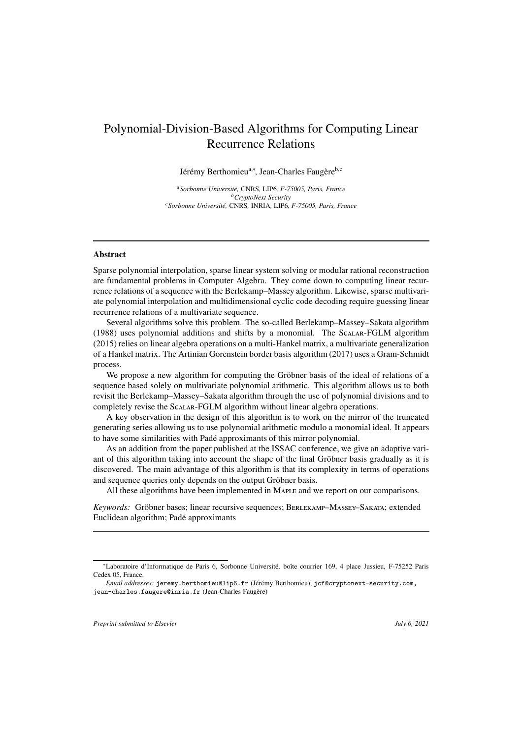# Polynomial-Division-Based Algorithms for Computing Linear Recurrence Relations

Jérémy Berthomieu<sup>a,∗</sup>, Jean-Charles Faugère<sup>b,c</sup>

*<sup>a</sup>Sorbonne Universit´e,* CNRS*,* LIP6*, F-75005, Paris, France <sup>b</sup>CryptoNext Security <sup>c</sup>Sorbonne Universit´e,* CNRS*,* INRIA*,* LIP6*, F-75005, Paris, France*

## Abstract

Sparse polynomial interpolation, sparse linear system solving or modular rational reconstruction are fundamental problems in Computer Algebra. They come down to computing linear recurrence relations of a sequence with the Berlekamp–Massey algorithm. Likewise, sparse multivariate polynomial interpolation and multidimensional cyclic code decoding require guessing linear recurrence relations of a multivariate sequence.

Several algorithms solve this problem. The so-called Berlekamp–Massey–Sakata algorithm (1988) uses polynomial additions and shifts by a monomial. The Scalar-FGLM algorithm (2015) relies on linear algebra operations on a multi-Hankel matrix, a multivariate generalization of a Hankel matrix. The Artinian Gorenstein border basis algorithm (2017) uses a Gram-Schmidt process.

We propose a new algorithm for computing the Gröbner basis of the ideal of relations of a sequence based solely on multivariate polynomial arithmetic. This algorithm allows us to both revisit the Berlekamp–Massey–Sakata algorithm through the use of polynomial divisions and to completely revise the Scalar-FGLM algorithm without linear algebra operations.

A key observation in the design of this algorithm is to work on the mirror of the truncated generating series allowing us to use polynomial arithmetic modulo a monomial ideal. It appears to have some similarities with Padé approximants of this mirror polynomial.

As an addition from the paper published at the ISSAC conference, we give an adaptive variant of this algorithm taking into account the shape of the final Gröbner basis gradually as it is discovered. The main advantage of this algorithm is that its complexity in terms of operations and sequence queries only depends on the output Gröbner basis.

All these algorithms have been implemented in Maple and we report on our comparisons.

Keywords: Gröbner bases; linear recursive sequences; BERLEKAMP–MASSEY–SAKATA; extended Euclidean algorithm; Padé approximants

*Preprint submitted to Elsevier July 6, 2021*

<sup>∗</sup>Laboratoire d'Informatique de Paris 6, Sorbonne Universit´e, boˆıte courrier 169, 4 place Jussieu, F-75252 Paris Cedex 05, France.

*Email addresses:* jeremy.berthomieu@lip6.fr (Jérémy Berthomieu), jcf@cryptonext-security.com, jean-charles.faugere@inria.fr (Jean-Charles Faugère)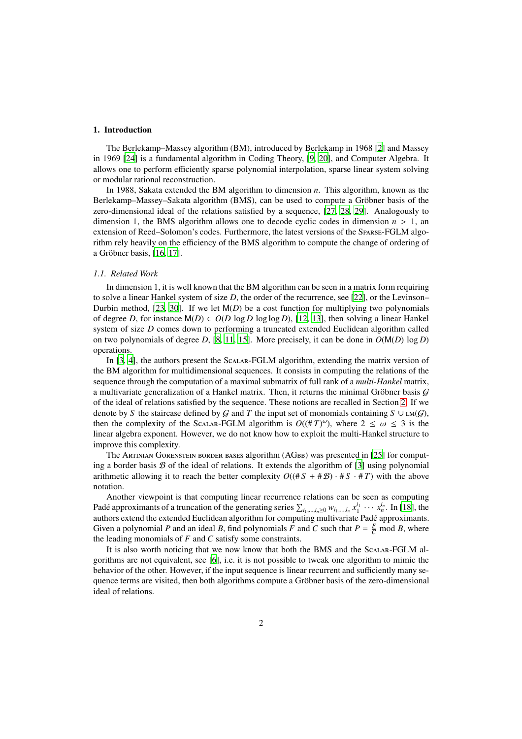#### 1. Introduction

The Berlekamp–Massey algorithm (BM), introduced by Berlekamp in 1968 [2] and Massey in 1969 [24] is a fundamental algorithm in Coding Theory, [9, 20], and Computer Algebra. It allows one to perform efficiently sparse polynomial interpolation, sparse linear system solving or modular rational reconstruction.

In 1988, Sakata extended the BM algorithm to dimension *n*. This algorithm, known as the Berlekamp–Massey–Sakata algorithm (BMS), can be used to compute a Gröbner basis of the zero-dimensional ideal of the relations satisfied by a sequence, [27, 28, 29]. Analogously to dimension 1, the BMS algorithm allows one to decode cyclic codes in dimension  $n > 1$ , an extension of Reed–Solomon's codes. Furthermore, the latest versions of the Sparse-FGLM algorithm rely heavily on the efficiency of the BMS algorithm to compute the change of ordering of a Gröbner basis, [16, 17].

## *1.1. Related Work*

In dimension 1, it is well known that the BM algorithm can be seen in a matrix form requiring to solve a linear Hankel system of size *D*, the order of the recurrence, see [22], or the Levinson– Durbin method, [23, 30]. If we let  $M(D)$  be a cost function for multiplying two polynomials of degree *D*, for instance  $M(D) \in O(D \log D \log \log D)$ , [12, 13], then solving a linear Hankel system of size *D* comes down to performing a truncated extended Euclidean algorithm called on two polynomials of degree *D*, [8, 11, 15]. More precisely, it can be done in  $O(M(D) \log D)$ operations.

In [3, 4], the authors present the Scalar-FGLM algorithm, extending the matrix version of the BM algorithm for multidimensional sequences. It consists in computing the relations of the sequence through the computation of a maximal submatrix of full rank of a *multi-Hankel* matrix, a multivariate generalization of a Hankel matrix. Then, it returns the minimal Gröbner basis  $G$ of the ideal of relations satisfied by the sequence. These notions are recalled in Section 2. If we denote by *S* the staircase defined by G and T the input set of monomials containing  $S \cup \text{LM}(G)$ , then the complexity of the Scalar-FGLM algorithm is  $O((\# T)^\omega)$ , where  $2 \leq \omega \leq 3$  is the linear algebra exponent. However, we do not know how to exploit the multi-Hankel structure to improve this complexity.

The Artinian Gorenstein border bases algorithm (AGbb) was presented in [25] for computing a border basis  $\mathcal B$  of the ideal of relations. It extends the algorithm of [3] using polynomial arithmetic allowing it to reach the better complexity  $O((\# S + \# B) \cdot \# S \cdot \# T)$  with the above notation.

Another viewpoint is that computing linear recurrence relations can be seen as computing Padé approximants of a truncation of the generating series  $\sum_{i_1,\dots,i_n\geq 0} w_{i_1,\dots,i_n} x_1^{i_1} \cdots x_n^{i_n}$ . In [18], the authors extend the extended Euclidean algorithm for computing multivariate Padé approximants. Given a polynomial *P* and an ideal *B*, find polynomials *F* and *C* such that  $P = \frac{F}{C}$  mod *B*, where the leading monomials of *F* and *C* satisfy some constraints.

It is also worth noticing that we now know that both the BMS and the Scalar-FGLM algorithms are not equivalent, see [6], i.e. it is not possible to tweak one algorithm to mimic the behavior of the other. However, if the input sequence is linear recurrent and sufficiently many sequence terms are visited, then both algorithms compute a Gröbner basis of the zero-dimensional ideal of relations.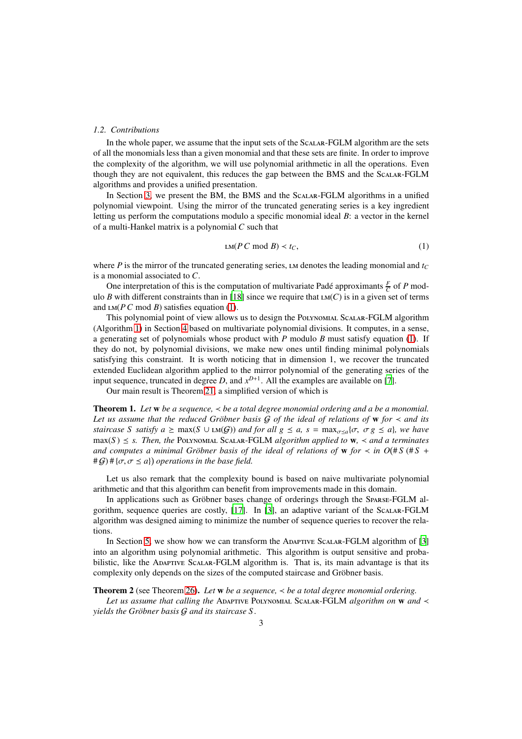#### *1.2. Contributions*

In the whole paper, we assume that the input sets of the Scalar-FGLM algorithm are the sets of all the monomials less than a given monomial and that these sets are finite. In order to improve the complexity of the algorithm, we will use polynomial arithmetic in all the operations. Even though they are not equivalent, this reduces the gap between the BMS and the Scalar-FGLM algorithms and provides a unified presentation.

In Section 3, we present the BM, the BMS and the Scalar-FGLM algorithms in a unified polynomial viewpoint. Using the mirror of the truncated generating series is a key ingredient letting us perform the computations modulo a specific monomial ideal *B*: a vector in the kernel of a multi-Hankel matrix is a polynomial *C* such that

$$
LM(P C \bmod B) < t_C,\tag{1}
$$

where *P* is the mirror of the truncated generating series, LM denotes the leading monomial and  $t_C$ is a monomial associated to *C*.

One interpretation of this is the computation of multivariate Padé approximants  $\frac{F}{C}$  of *P* modulo *B* with different constraints than in [18] since we require that  $LM(C)$  is in a given set of terms and  $LM(P C \text{ mod } B)$  satisfies equation (1).

This polynomial point of view allows us to design the Polynomial Scalar-FGLM algorithm (Algorithm 1) in Section 4 based on multivariate polynomial divisions. It computes, in a sense, a generating set of polynomials whose product with *P* modulo *B* must satisfy equation (1). If they do not, by polynomial divisions, we make new ones until finding minimal polynomials satisfying this constraint. It is worth noticing that in dimension 1, we recover the truncated extended Euclidean algorithm applied to the mirror polynomial of the generating series of the input sequence, truncated in degree *D*, and  $x^{D+1}$ . All the examples are available on [7].

Our main result is Theorem 21, a simplified version of which is

Theorem 1. *Let* w *be a sequence,* ≺ *be a total degree monomial ordering and a be a monomial.* Let us assume that the reduced Gröbner basis  $G$  of the ideal of relations of w for  $\prec$  and its *staircase S satisfy a*  $\geq$  max(*S* ∪ *LM(G)) and for all g*  $\leq$  *a, s* = max<sub>*σ* $\lt a_1$ </sub>{*σ, σ g*  $\leq$  *a*}*, we have*  $\max(S) \leq s$ . Then, the POLYNOMIAL SCALAR-FGLM *algorithm applied to*  $\mathbf{w}$ ,  $\prec$  *and a terminates and computes a minimal Gröbner basis of the ideal of relations of w for*  $\lt$  *in*  $O(\#S \#S +$  $#G$ <sup> $#$ </sup> $\{\sigma, \sigma \leq a\}$  operations in the base field.

Let us also remark that the complexity bound is based on naive multivariate polynomial arithmetic and that this algorithm can benefit from improvements made in this domain.

In applications such as Gröbner bases change of orderings through the Sparse-FGLM algorithm, sequence queries are costly, [17]. In [3], an adaptive variant of the Scalar-FGLM algorithm was designed aiming to minimize the number of sequence queries to recover the relations.

In Section 5, we show how we can transform the Adaptive Scalar-FGLM algorithm of [3] into an algorithm using polynomial arithmetic. This algorithm is output sensitive and probabilistic, like the ADAPTIVE SCALAR-FGLM algorithm is. That is, its main advantage is that its complexity only depends on the sizes of the computed staircase and Gröbner basis.

Theorem 2 (see Theorem 26). *Let* w *be a sequence,* ≺ *be a total degree monomial ordering.*

*Let us assume that calling the* ADAPTIVE POLYNOMIAL SCALAR-FGLM *algorithm on* **w** and ≺ *yields the Gröbner basis G and its staircase S.*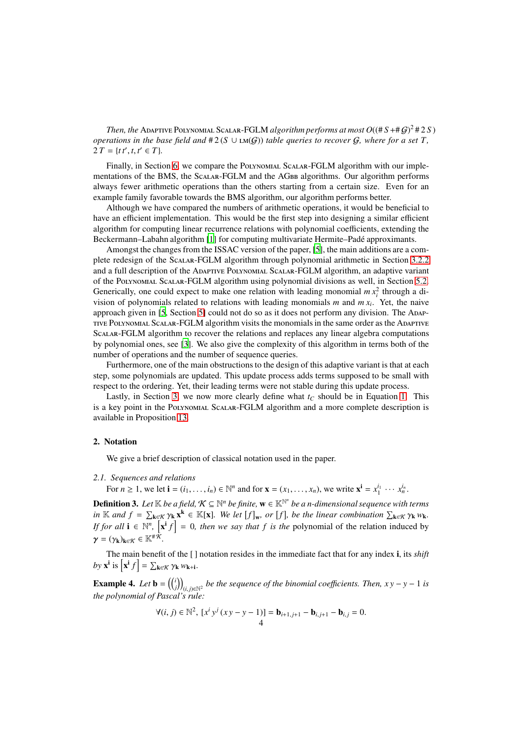*Then, the Adaptive Polynomial Scalar-FGLM algorithm performs at most*  $O((\#S + \#G)^2 \# 2 S)$ *operations in the base field and*  $#2(S \cup LM(G))$  *table queries to recover* G, where for a set T,  $2 T = \{ t t', t, t' \in T \}.$ 

Finally, in Section 6, we compare the Polynomial Scalar-FGLM algorithm with our implementations of the BMS, the SCALAR-FGLM and the AGBB algorithms. Our algorithm performs always fewer arithmetic operations than the others starting from a certain size. Even for an example family favorable towards the BMS algorithm, our algorithm performs better.

Although we have compared the numbers of arithmetic operations, it would be beneficial to have an efficient implementation. This would be the first step into designing a similar efficient algorithm for computing linear recurrence relations with polynomial coefficients, extending the Beckermann–Labahn algorithm [1] for computing multivariate Hermite–Padé approximants.

Amongst the changes from the ISSAC version of the paper, [5], the main additions are a complete redesign of the Scalar-FGLM algorithm through polynomial arithmetic in Section 3.2.2 and a full description of the Adaptive Polynomial Scalar-FGLM algorithm, an adaptive variant of the Polynomial Scalar-FGLM algorithm using polynomial divisions as well, in Section 5.2. Generically, one could expect to make one relation with leading monomial  $mx_i^2$  through a division of polynomials related to relations with leading monomials *m* and *m x<sup>i</sup>* . Yet, the naive approach given in [5, Section 5] could not do so as it does not perform any division. The Adaptive Polynomial Scalar-FGLM algorithm visits the monomials in the same order as the Adaptive Scalar-FGLM algorithm to recover the relations and replaces any linear algebra computations by polynomial ones, see [3]. We also give the complexity of this algorithm in terms both of the number of operations and the number of sequence queries.

Furthermore, one of the main obstructions to the design of this adaptive variant is that at each step, some polynomials are updated. This update process adds terms supposed to be small with respect to the ordering. Yet, their leading terms were not stable during this update process.

Lastly, in Section 3, we now more clearly define what  $t_C$  should be in Equation 1. This is a key point in the Polynomial Scalar-FGLM algorithm and a more complete description is available in Proposition 13.

#### 2. Notation

We give a brief description of classical notation used in the paper.

#### *2.1. Sequences and relations*

For  $n \ge 1$ , we let  $\mathbf{i} = (i_1, \dots, i_n) \in \mathbb{N}^n$  and for  $\mathbf{x} = (x_1, \dots, x_n)$ , we write  $\mathbf{x}^{\mathbf{i}} = x_1^{i_1} \cdots x_n^{i_n}$ .

**Definition 3.** Let  $\mathbb{K}$  be a field,  $\mathcal{K} \subseteq \mathbb{N}^n$  be finite,  $\mathbf{w} \in \mathbb{K}^{\mathbb{N}^n}$  be a n-dimensional sequence with terms  $\lim_{k \to \infty} K$  *f*  $k \in \mathbb{R}$   $[\mathbf{x}]$ . We let  $[f]_{\mathbf{w}}$ , or  $[f]$ , be the linear combination  $\sum_{\mathbf{k} \in \mathcal{K}} \gamma_{\mathbf{k}}$   $w_{\mathbf{k}}$ . *If for all*  $\mathbf{i} \in \mathbb{N}^n$ ,  $\left[\mathbf{x}^{\mathbf{i}} f\right] = 0$ , then we say that f is the polynomial of the relation induced by  $\gamma = (\gamma_{\mathbf{k}})_{\mathbf{k}\in\mathcal{K}} \in \mathbb{K}^{\# \bar{\mathcal{K}}}$ .

The main benefit of the [ ] notation resides in the immediate fact that for any index i, its *shift* by  $\mathbf{x}^i$  is  $\left[\mathbf{x}^i f\right] = \sum_{\mathbf{k} \in \mathcal{K}} \gamma_{\mathbf{k}} w_{\mathbf{k}+\mathbf{i}}$ .

**Example 4.** Let  $\mathbf{b} = \begin{pmatrix} i \\ j \end{pmatrix}_{(i,j)\in\mathbb{N}^2}$  be the sequence of the binomial coefficients. Then,  $xy - y - 1$  is *the polynomial of Pascal's rule:*

$$
\forall (i, j) \in \mathbb{N}^2, \ [x^i y^j (xy - y - 1)] = \mathbf{b}_{i+1, j+1} - \mathbf{b}_{i, j+1} - \mathbf{b}_{i, j} = 0.
$$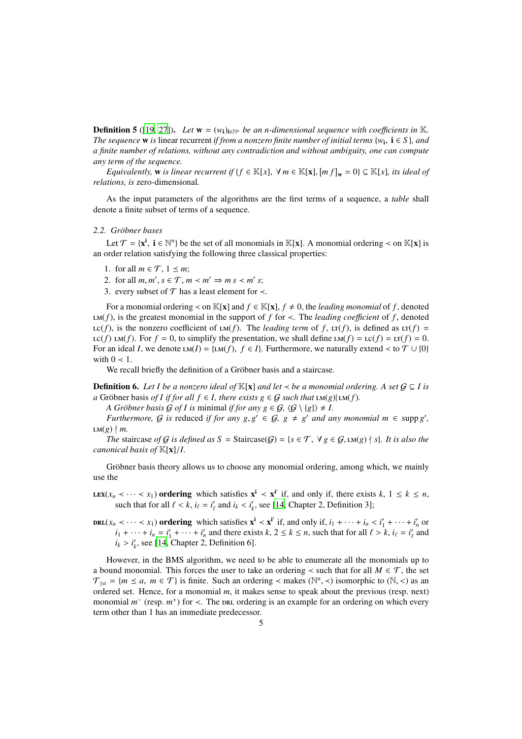**Definition 5** ([19, 27]). *Let*  $w = (w_i)_{i \in \mathbb{N}^n}$  *be an n-dimensional sequence with coefficients in* K. *The sequence* **w** is linear recurrent *if from a nonzero finite number of initial terms* { $w_i$ ,  $i \in S$ }, and *a finite number of relations, without any contradiction and without ambiguity, one can compute any term of the sequence.*

*Equivalently,* w *is linear recurrent if*  $\{f \in \mathbb{K}[x], \forall m \in \mathbb{K}[x], [mf]_{w} = 0\} \subseteq \mathbb{K}[x]$ *, its ideal of relations, is* zero-dimensional*.*

As the input parameters of the algorithms are the first terms of a sequence, a *table* shall denote a finite subset of terms of a sequence.

#### 2.2. Gröbner bases

Let  $\mathcal{T} = \{x^i, i \in \mathbb{N}^n\}$  be the set of all monomials in K[**x**]. A monomial ordering < on K[**x**] is an order relation satisfying the following three classical properties:

1. for all  $m \in \mathcal{T}$ ,  $1 \leq m$ ;

2. for all  $m, m', s \in \mathcal{T}, m \lt m' \Rightarrow m s \lt m' s;$ 

3. every subset of  $\mathcal T$  has a least element for  $\prec$ .

For a monomial ordering  $\prec$  on K[**x**] and  $f \in K[x]$ ,  $f \neq 0$ , the *leading monomial* of f, denoted  $LM(f)$ , is the greatest monomial in the support of *f* for  $\lt$ . The *leading coefficient* of *f*, denoted  $\text{LC}(f)$ , is the nonzero coefficient of  $\text{LM}(f)$ . The *leading term* of *f*,  $\text{LT}(f)$ , is defined as  $\text{LT}(f)$  = Lc(*f*) LM(*f*). For  $f = 0$ , to simplify the presentation, we shall define LM(*f*) = Lc(*f*) = LT(*f*) = 0. For an ideal *I*, we denote  $LM(I) = \{LM(f), f \in I\}$ . Furthermore, we naturally extend < to  $T \cup \{0\}$ with  $0 < 1$ .

We recall briefly the definition of a Gröbner basis and a staircase.

**Definition 6.** *Let I be a nonzero ideal of*  $\mathbb{K}[x]$  *and let*  $\prec$  *be a monomial ordering. A set*  $G \subseteq I$  *is*  $a$  Gröbner basis *of I if for all f* ∈ *I, there exists g* ∈  $G$  *such that*  $LM(g)$   $LM(f)$ *.* 

*A Gröbner basis*  $G$  *of I is minimal if for any*  $g \in G$ *,*  $\langle G \setminus \{g\} \rangle \neq I$ .

*Furthermore,* G *is* reduced *if for any*  $g, g' \in G$ ,  $g \neq g'$  *and any monomial*  $m \in \text{supp } g'$ ,  $LM(g) \nmid m$ .

*The* staircase *of* G *is defined as*  $S =$  Staircase(G) = { $s \in T$ ,  $\forall g \in G$ ,  $LM(g) \nmid s$ }*. It is also the canonical basis of* K[x]/*I.*

Gröbner basis theory allows us to choose any monomial ordering, among which, we mainly use the

LEX( $x_n < \cdots < x_1$ ) ordering which satisfies  $x^i < x^{i'}$  if, and only if, there exists  $k, 1 \le k \le n$ , such that for all  $\ell < k$ ,  $i_{\ell} = i'_{\ell}$  and  $i_k < i'_{k}$ , see [14, Chapter 2, Definition 3];

 $\text{Lip}$   $(x_n \prec \cdots \prec x_1)$  ordering which satisfies  $\mathbf{x}^i \prec \mathbf{x}^{i'}$  if, and only if,  $i_1 + \cdots + i_n \prec i'_1 + \cdots + i'_n$  or  $i_1 + \cdots + i_n = i'_1 + \cdots + i'_n$  and there exists  $k, 2 \le k \le n$ , such that for all  $\ell > k$ ,  $i_\ell = i'_\ell$  and  $i_k > i'_k$ , see [14, Chapter 2, Definition 6].

However, in the BMS algorithm, we need to be able to enumerate all the monomials up to a bound monomial. This forces the user to take an ordering  $\prec$  such that for all  $M \in \mathcal{T}$ , the set  $\mathcal{T}_{\leq a} = \{m \leq a, m \in \mathcal{T}\}\$ is finite. Such an ordering < makes ( $\mathbb{N}^n$ , <) isomorphic to ( $\mathbb{N},$  <) as an ordered set. Hence, for a monomial *m*, it makes sense to speak about the previous (resp. next) monomial  $m^-$  (resp.  $m^+$ ) for  $\lt$ . The protic ordering is an example for an ordering on which every term other than 1 has an immediate predecessor.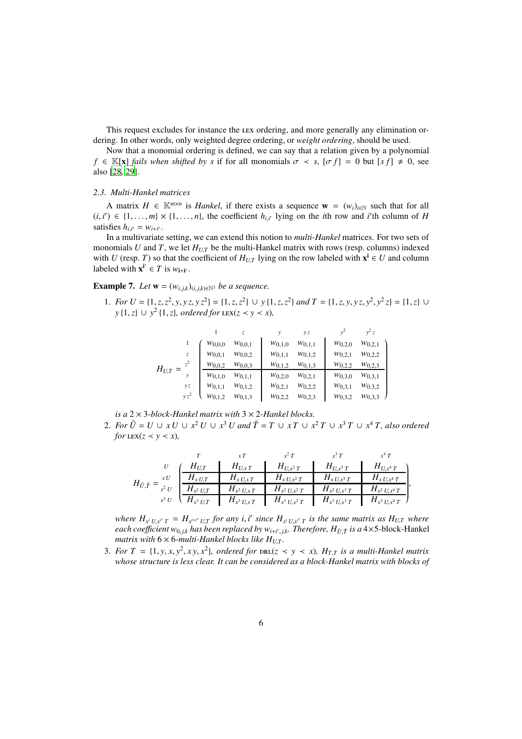This request excludes for instance the LEX ordering, and more generally any elimination ordering. In other words, only weighted degree ordering, or *weight ordering*, should be used.

Now that a monomial ordering is defined, we can say that a relation given by a polynomial  $f \in K[x]$  *fails when shifted by s* if for all monomials  $\sigma \prec s$ ,  $[\sigma f] = 0$  but  $[s f] \neq 0$ , see also [28, 29].

#### *2.3. Multi-Hankel matrices*

A matrix  $H \in \mathbb{K}^{m \times n}$  is *Hankel*, if there exists a sequence  $\mathbf{w} = (w_i)_{i \in \mathbb{N}}$  such that for all  $(i, i') \in \{1, \ldots, m\} \times \{1, \ldots, n\}$ , the coefficient  $h_{i,i'}$  lying on the *i*th row and *i*'th column of *H* satisfies  $h_{i,i'} = w_{i+i'}$ .

In a multivariate setting, we can extend this notion to *multi-Hankel* matrices. For two sets of monomials *U* and *T*, we let  $H_{UT}$  be the multi-Hankel matrix with rows (resp. columns) indexed with *U* (resp. *T*) so that the coefficient of  $H_{U,T}$  lying on the row labeled with  $\mathbf{x}^i \in U$  and column labeled with  $\mathbf{x}^{i'} \in T$  is  $w_{i+i'}$ .

Example 7. Let  $\mathbf{w} = (w_{i,j,k})_{(i,j,k) \in \mathbb{N}^3}$  be a sequence.

1. For  $U = \{1, z, z^2, y, yz, yz^2\} = \{1, z, z^2\} \cup y\{1, z, z^2\}$  and  $T = \{1, z, y, yz, y^2, y^2z\} = \{1, z\} \cup$ *y* {1, *z*} ∪ *y*<sup>2</sup> {1, *z*}*, ordered for* LEX(*z* ≺ *y* ≺ *x*)*,* 

|             |        |             | Z.          | ν           | yζ          | $v^2$       | $v^2 z$     |
|-------------|--------|-------------|-------------|-------------|-------------|-------------|-------------|
|             |        | $W_{0,0,0}$ | $W_{0,0,1}$ | $W_{0,1,0}$ | $W_{0,1,1}$ | $W_{0,2,0}$ | $W_{0,2,1}$ |
|             | z      | $W_{0,0,1}$ | $W_{0,0,2}$ | $W_{0,1,1}$ | $W_{0,1,2}$ | $W_{0,2,1}$ | $W_{0,2,2}$ |
|             | $z^2$  | $W_{0,0,2}$ | $W_{0,0,3}$ | $W_{0,1,2}$ | $W_{0,1,3}$ | $W_{0,2,2}$ | $W_{0,2,3}$ |
| $H_{U,T} =$ |        | $W_{0,1,0}$ | $W_{0,1,1}$ | $W_{0,2,0}$ | $W_{0,2,1}$ | $W_{0,3,0}$ | $W_{0,3,1}$ |
|             | yz     | $W_{0,1,1}$ | $W_{0,1,2}$ | $W_{0,2,1}$ | $W_{0,2,2}$ | $W_{0,3,1}$ | $W_{0,3,2}$ |
|             | $vz^2$ | $W_{0,1,2}$ | $W_{0,1,3}$ | $w_{0,2,2}$ | $W_{0,2,3}$ | $W_{0,3,2}$ | $W_{0,3,3}$ |

*is a* 2 × 3*-block-Hankel matrix with* 3 × 2*-Hankel blocks.*

2. *For*  $\tilde{U} = U \cup xU \cup x^2 U \cup x^3 U$  and  $\tilde{T} = T \cup xT \cup x^2 T \cup x^3 T \cup x^4 T$ , also ordered *for*  $\text{LEX}(z \leq y \leq x)$ ,

|                                      |                          |                  | $r^2$ T            |                    |                      |
|--------------------------------------|--------------------------|------------------|--------------------|--------------------|----------------------|
|                                      | $H_{U,T}$                | $H_{U, xT}$      | $H_{U,x^2T}$       | $H_{U,x^3T}$       | $H_{U,x^4\,T}$       |
| x U                                  | $H_{x U,T}$              | $H_{xU,xT}$      | $H_{xU,x^2T}$      | $H_{x U, x^3 T}$   | $H_{x\,U,x^4\,T}$    |
| $H_{\tilde{U},\tilde{T}}$<br>$x^2 U$ | $H_{x^2 U,T}$            | $H_{x^2 U, x T}$ | $H_{x^2 U, x^2 T}$ | $H_{x^2 U, x^3 T}$ | $H_{x^2\,U,x^4\,T}$  |
|                                      | $x^3 U \cup H_{x^3 U,T}$ | $H_{x^3 U, x T}$ | $H_{x^3 U, x^2 T}$ | $H_{x^3 U, x^3 T}$ | $H_{x^3 U, x^4 T}$ ) |

where  $H_{x^i U, x^{i'} T} = H_{x^{i+i'} U, T}$  for any i, i' since  $H_{x^i U, x^{i'} T}$  is the same matrix as  $H_{U, T}$  where each coefficient  $w_{0,j,k}$  has been replaced by  $w_{i+i',j,k}$ . Therefore,  $H_{\tilde{U},\tilde{T}}$  is a  $4\times$ 5-block-Hankel *matrix with*  $6 \times 6$ *-multi-Hankel blocks like*  $H_{U,T}$ *.* 

3. *For*  $T = \{1, y, x, y^2, xy, x^2\}$ , ordered for  $DRL(z \lt y \lt x)$ ,  $H_{T,T}$  *is a multi-Hankel matrix whose structure is less clear. It can be considered as a block-Hankel matrix with blocks of*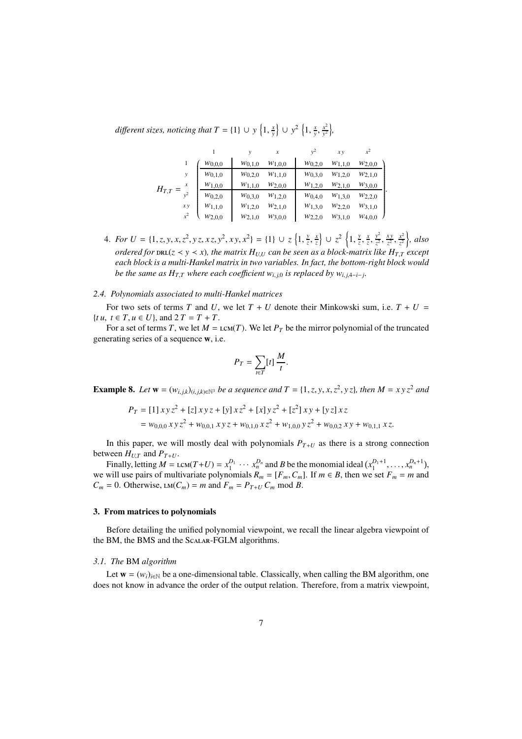*different sizes, noticing that*  $T = \{1\} \cup y \left\{1, \frac{x}{y}\right\} \cup y^2 \left\{1, \frac{x}{y}, \frac{x^2}{y^2}\right\}$  $\frac{x^2}{y^2}$ ,

|             |       |             |             | x           | $v^{\omega}$ | xу          | $x^2$       |
|-------------|-------|-------------|-------------|-------------|--------------|-------------|-------------|
| $H_{T,T} =$ |       | $W_{0,0,0}$ | $W_{0,1,0}$ | $W_{1,0,0}$ | $W_{0,2,0}$  | $W_{1,1,0}$ | $W_{2,0,0}$ |
|             | y     | $w_{0,1,0}$ | $W_{0,2,0}$ | $W_{1,1,0}$ | $W_{0,3,0}$  | $W_{1,2,0}$ | $W_{2,1,0}$ |
|             | x     | $W_{1,0,0}$ | $W_{1,1,0}$ | $W_{2,0,0}$ | $W_{1,2,0}$  | $W_{2,1,0}$ | $W_{3,0,0}$ |
|             | $v^2$ | $W_{0,2,0}$ | $W_{0,3,0}$ | $w_{1,2,0}$ | $W_{0,4,0}$  | $W_{1,3,0}$ | $W_{2,2,0}$ |
|             | xy    | $W_{1,1,0}$ | $W_{1,2,0}$ | $W_{2,1,0}$ | $W_{1,3,0}$  | $W_{2,2,0}$ | $W_{3,1,0}$ |
|             | $x^2$ | $W_{2,0,0}$ | $W_{2,1,0}$ | $W_{3,0,0}$ | $W_{2,2,0}$  | $W_{3,1,0}$ | $W_{4,0,0}$ |

4. *For U* = {1, *z*, *y*, *x*, *z*<sup>2</sup>, *y z*, *x z*, *y*<sup>2</sup>, *x y*, *x*<sup>2</sup>} = {1}  $\cup$  *z* {1,  $\frac{y}{7}$  $\left[\frac{y}{z}, \frac{x}{z}\right]$  ∪  $z^2$   $\left\{1, \frac{y}{z}\right\}$  $\frac{y}{z}$ ,  $\frac{x}{z}$ ,  $\frac{y^2}{z^2}$  $rac{y^2}{z^2}, \frac{xy}{z^2}$  $\frac{xy}{z^2}, \frac{x^2}{z^2}$  $\frac{x^2}{z^2}$ , also  $\sigma$ ordered for  ${\tt DRL}(z \prec y \prec x)$ , the matrix  $H_{U,U}$  can be seen as a block-matrix like  $H_{T,T}$  except *each block is a multi-Hankel matrix in two variables. In fact, the bottom-right block would be the same as*  $H_{T,T}$  *where each coefficient*  $w_{i,j,0}$  *<i>is replaced by*  $w_{i,j,4-i-j}$ *.* 

## *2.4. Polynomials associated to multi-Hankel matrices*

For two sets of terms *T* and *U*, we let  $T + U$  denote their Minkowski sum, i.e.  $T + U =$  ${t u, t \in T, u \in U}$ , and  $2T = T + T$ .

For a set of terms *T*, we let  $M = LCM(T)$ . We let  $P_T$  be the mirror polynomial of the truncated generating series of a sequence w, i.e.

$$
P_T = \sum_{t \in T} [t] \frac{M}{t}.
$$

**Example 8.** Let  $w = (w_{i,j,k})_{(i,j,k)\in\mathbb{N}^3}$  be a sequence and  $T = \{1, z, y, x, z^2, yz\}$ , then  $M = xyz^2$  and

$$
P_T = [1] xy z^2 + [z] xy z + [y] x z^2 + [x] y z^2 + [z^2] xy + [y z] x z
$$
  
=  $w_{0,0,0} xy z^2 + w_{0,0,1} xy z + w_{0,1,0} x z^2 + w_{1,0,0} y z^2 + w_{0,0,2} xy + w_{0,1,1} x z.$ 

In this paper, we will mostly deal with polynomials  $P_{T+U}$  as there is a strong connection between  $H_{U,T}$  and  $P_{T+U}$ .

Finally, letting  $M = \text{lcm}(T+U) = x_1^{D_1} \cdots x_n^{D_n}$  and *B* be the monomial ideal  $(x_1^{D_1+1}, \ldots, x_n^{D_n+1})$ , we will use pairs of multivariate polynomials  $R_m = [F_m, C_m]$ . If  $m \in B$ , then we set  $F_m = m$  and  $C_m = 0$ . Otherwise,  $LM(C_m) = m$  and  $F_m = P_{T+U} C_m$  mod *B*.

#### 3. From matrices to polynomials

Before detailing the unified polynomial viewpoint, we recall the linear algebra viewpoint of the BM, the BMS and the Scalar-FGLM algorithms.

#### *3.1. The* BM *algorithm*

Let  $\mathbf{w} = (w_i)_{i \in \mathbb{N}}$  be a one-dimensional table. Classically, when calling the BM algorithm, one does not know in advance the order of the output relation. Therefore, from a matrix viewpoint,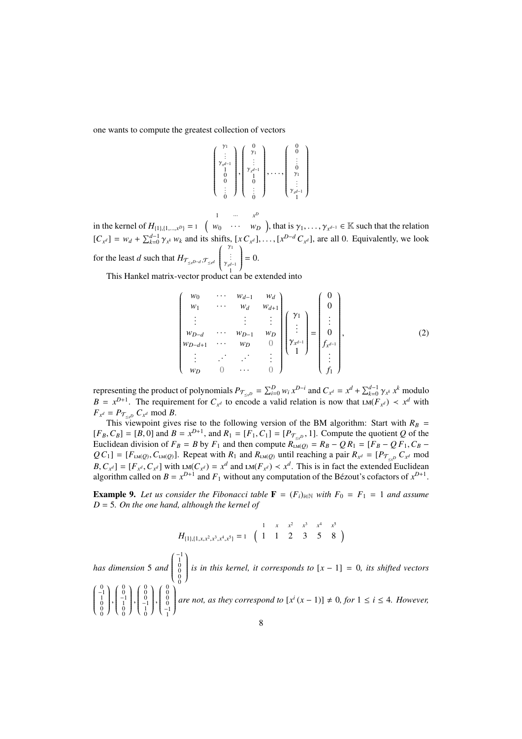one wants to compute the greatest collection of vectors

$$
\left(\begin{array}{c} \gamma_1 \\ \vdots \\ \gamma_{x^{d-1}} \\ 1 \\ 0 \\ 0 \\ \vdots \\ 0 \end{array}\right), \left(\begin{array}{c} 0 \\ \gamma_1 \\ \vdots \\ \gamma_{x^{d-1}} \\ 0 \\ 1 \\ \vdots \\ 0 \end{array}\right), \dots, \left(\begin{array}{c} 0 \\ 0 \\ \vdots \\ 0 \\ \gamma_1 \\ \vdots \\ \gamma_{x^{d-1}} \\ 1 \end{array}\right)
$$

in the kernel of  $H_{\{1\},\{1,...,x^D\}} = 1$  ( 1 ··· *x D*  $w_0 \quad \cdots \quad w_D$ ), that is  $\gamma_1, \ldots, \gamma_{x^{d-1}} \in \mathbb{K}$  such that the relation  $[C_{x^d}] = w_d + \sum_{k=0}^{d-1} \gamma_{x^k} w_k$  and its shifts,  $[x C_{x^d}], \ldots, [x^{D-d} C_{x^d}]$ , are all 0. Equivalently, we look for the least *d* such that  $H_{\mathcal{T}_{\leq x}D-d}, \mathcal{T}_{\leq x^d}$  $\left( \begin{array}{c} \gamma_1 \\ \vdots \\ \gamma_{x^{d-1}} \\ 1 \end{array} \right)$   $\mathcal{I}_{\mathcal{A}}$  $\begin{array}{c} \end{array}$  $= 0.$ 

This Hankel matrix-vector product can be extended into

$$
\begin{pmatrix}\nw_0 & \cdots & w_{d-1} & w_d \\
w_1 & \cdots & w_d & w_{d+1} \\
\vdots & & \vdots & \vdots \\
w_{D-d} & \cdots & w_{D-1} & w_D \\
w_{D-d+1} & \cdots & w_D & 0 \\
\vdots & & \vdots & \ddots & \vdots \\
w_D & 0 & \cdots & 0\n\end{pmatrix}\n\begin{pmatrix}\n\gamma_1 \\
\vdots \\
\gamma_{x^{d-1}} \\
1\n\end{pmatrix} = \begin{pmatrix}\n0 \\
0 \\
\vdots \\
0 \\
f_{x^{d-1}} \\
\vdots \\
f_1\n\end{pmatrix},
$$
\n(2)

representing the product of polynomials  $P_{\mathcal{T}_{\leq x^D}} = \sum_{i=0}^D w_i x^{D-i}$  and  $C_{x^d} = x^d + \sum_{k=0}^{d-1} \gamma_{x^k} x^k$  modulo  $B = x^{D+1}$ . The requirement for  $C_{x^d}$  to encode a valid relation is now that  $LM(F_{x^d}) < x^d$  with  $F_{x^d} = P_{\mathcal{T}_{\leq x^D}} C_{x^d} \text{ mod } B.$ 

This viewpoint gives rise to the following version of the BM algorithm: Start with  $R_B =$  $[F_B, C_B] = [B, 0]$  and  $B = x^{D+1}$ , and  $R_1 = [F_1, C_1] = [P_{\mathcal{T}_{\leq x^D}}, 1]$ . Compute the quotient *Q* of the Euclidean division of  $F_B = B$  by  $F_1$  and then compute  $R_{LM(Q)}^{\sigma} = R_B - QR_1 = [F_B - QF_1, C_B - QF_2]$  $Q C_1$  = [ $F_{LM(Q)}$ ,  $C_{LM(Q)}$ ]. Repeat with  $R_1$  and  $R_{LM(Q)}$  until reaching a pair  $R_{x^d} = [P_{\mathcal{T}_{\leq x^D}} C_{x^d}$  mod  $B, C_{x^d}] = [F_{x^d}, C_{x^d}]$  with  $LM(C_{x^d}) = x^d$  and  $LM(F_{x^d}) < x^d$ . This is in fact the extended Euclidean algorithm called on  $B = x^{D+1}$  and  $F_1$  without any computation of the Bézout's cofactors of  $x^{D+1}$ .

**Example 9.** Let us consider the Fibonacci table  $\mathbf{F} = (F_i)_{i \in \mathbb{N}}$  with  $F_0 = F_1 = 1$  and assume *D* = 5*. On the one hand, although the kernel of*

$$
H_{\{1\},\{1,x,x^2,x^3,x^4,x^5\}} = 1 \quad \left(\begin{array}{cccccc} & 1 & x & x^2 & x^3 & x^4 & x^5 \\ 1 & 1 & 2 & 3 & 5 & 8 \end{array}\right)
$$

*has dimension* 5 *and*  $\left( \begin{array}{c} -1 \\ 1 \\ 0 \\ 0 \\ 0 \\ 0 \end{array} \right)$  Í  $\begin{array}{c} \hline \end{array}$ *is in this kernel, it corresponds to* [*x* − 1] = 0*, its shifted vectors*  $\left( \begin{array}{c} 0 \ -1 \ 1 \ 0 \ 0 \ 0 \ 0 \end{array} \right)$  $\overline{\phantom{a}}$ )  $\begin{array}{c} \hline \end{array}$ ,  $\left( \begin{array}{c} 0 \\ 0 \\ -1 \\ 1 \\ 0 \\ 0 \end{array} \right)$  $\overline{\phantom{a}}$ )  $\begin{array}{c} \hline \end{array}$ ,  $\left( \begin{array}{c} 0 \\ 0 \\ 0 \\ -1 \\ 1 \\ 0 \end{array} \right)$   $\mathcal{I}_{\mathcal{A}}$  $\begin{array}{c} \hline \end{array}$ ,  $\left( \begin{array}{c} 0 \\ 0 \\ 0 \\ 0 \\ -1 \\ 1 \end{array} \right)$   $\mathcal{I}_{\mathcal{A}}$  $\begin{array}{c} \hline \end{array}$ *are not, as they correspond to*  $[x^i(x-1)] \neq 0$ *, for*  $1 \leq i \leq 4$ *. However,*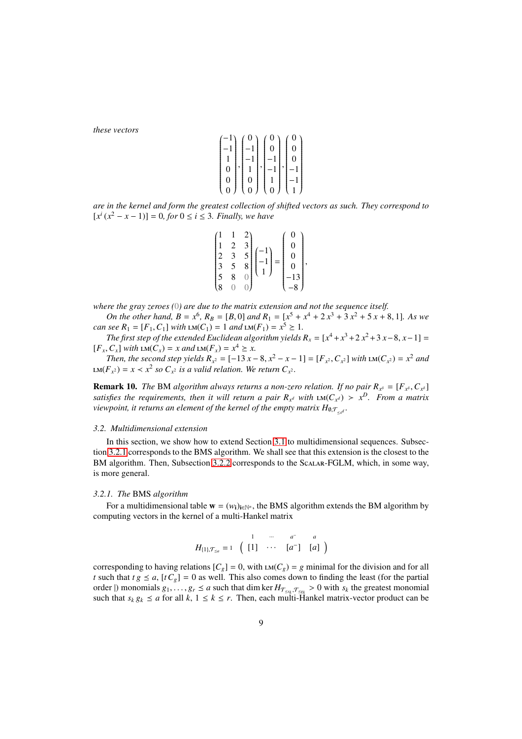*these vectors*

| $-1$ | 0              |   |   |   |  |
|------|----------------|---|---|---|--|
| -1   | -1             |   | 0 | 0 |  |
|      |                |   |   | 0 |  |
| 0    |                | , |   |   |  |
| 0    | 0              |   |   |   |  |
| 0    | $\overline{0}$ |   | 0 |   |  |

*are in the kernel and form the greatest collection of shifted vectors as such. They correspond to*  $[x^{i}(x^{2} - x - 1)] = 0$ , for  $0 \le i \le 3$ . Finally, we have

|   |              | 3             |   | Ω |  |
|---|--------------|---------------|---|---|--|
|   | $\mathbf{c}$ |               |   | Ŋ |  |
|   |              | $\frac{5}{8}$ | Ξ | Ŋ |  |
|   | 8            |               |   |   |  |
| 8 |              |               |   |   |  |

*where the gray zeroes (*0*) are due to the matrix extension and not the sequence itself.*

*On the other hand,*  $B = x^6$ ,  $R_B = [B, 0]$  *and*  $R_1 = [x^5 + x^4 + 2x^3 + 3x^2 + 5x + 8, 1]$ *. As we can see*  $R_1 = [F_1, C_1]$  *with*  $LM(C_1) = 1$  *and*  $LM(F_1) = x^5 \ge 1$ *.* 

*The first step of the extended Euclidean algorithm yields*  $R_x = [x^4 + x^3 + 2x^2 + 3x - 8, x - 1] =$  $[F_x, C_x]$  *with*  $LM(C_x) = x$  *and*  $LM(F_x) = x^4 \ge x$ .

*Then, the second step yields*  $R_{x^2} = [-13x - 8, x^2 - x - 1] = [F_{x^2}, C_{x^2}]$  *with*  $LM(C_{x^2}) = x^2$  *and*  $LM(F_{\chi^2}) = x < x^2$  so  $C_{\chi^2}$  is a valid relation. We return  $C_{\chi^2}$ .

**Remark 10.** *The* BM *algorithm always returns a non-zero relation. If no pair*  $R_{x^{\delta}} = [F_{x^{\delta}}, C_{x^{\delta}}]$ *satisfies the requirements, then it will return a pair*  $R_{x^d}$  with  $LM(C_{x^d}) > x^D$ *. From a matrix* viewpoint, it returns an element of the kernel of the empty matrix  $H_{\emptyset,\mathcal{T}_{\leq x^d}}.$ 

#### *3.2. Multidimensional extension*

In this section, we show how to extend Section 3.1 to multidimensional sequences. Subsection 3.2.1 corresponds to the BMS algorithm. We shall see that this extension is the closest to the BM algorithm. Then, Subsection 3.2.2 corresponds to the Scalar-FGLM, which, in some way, is more general.

#### *3.2.1. The* BMS *algorithm*

For a multidimensional table  $\mathbf{w} = (w_i)_{i \in \mathbb{N}^n}$ , the BMS algorithm extends the BM algorithm by computing vectors in the kernel of a multi-Hankel matrix

$$
H_{\{1\},\mathcal{T}_{\leq a}} = 1 \quad \begin{pmatrix} 1 & \cdots & a^{-} & a \\ \end{pmatrix}
$$

corresponding to having relations  $[C_g] = 0$ , with  $LM(C_g) = g$  minimal for the division and for all *t* such that  $tg \le a$ ,  $[tC_g] = 0$  as well. This also comes down to finding the least (for the partial order  $|$ ) monomials  $g_1, \ldots, g_r \le a$  such that dim ker  $H_{\mathcal{T}_{\le s_k}, \mathcal{T}_{\le s_k}} > 0$  with  $s_k$  the greatest monomial such that  $s_k g_k \le a$  for all  $k, 1 \le k \le r$ . Then, each multi-Hankel matrix-vector product can be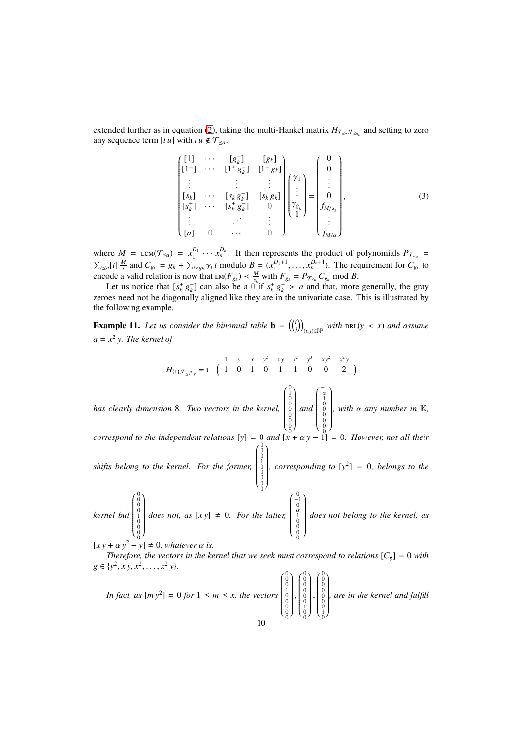extended further as in equation (2), taking the multi-Hankel matrix  $H_{\tau_{\leq a},\tau_{\leq g_k}}$  and setting to zero any sequence term  $[t u]$  with  $t u \notin \mathcal{T}_{\leq a}$ .

$$
\begin{bmatrix}\n[1] & \cdots & [g_k^-] & [g_k] \\
[1^+] & \cdots & [1^+g_k^-] & [1^+g_k] \\
\vdots & & \vdots & \vdots \\
[s_k] & \cdots & [s_k g_k^-] & [s_k g_k] \\
[s_k^+] & \cdots & [s_k^+ g_k^-] & 0 \\
\vdots & & \vdots & \vdots \\
[a] & 0 & \cdots & 0\n\end{bmatrix}\n\begin{bmatrix}\n\gamma_1 \\
\vdots \\
\gamma_{g_k^-} \\
\vdots \\
\gamma_{g_k^-}\n\end{bmatrix} =\n\begin{bmatrix}\n0 \\
0 \\
\vdots \\
0 \\
f_{M/s_k^+} \\
\vdots \\
f_{M/a}\n\end{bmatrix},
$$
\n(3)

where  $M = \text{LCM}(\mathcal{T}_{\leq a}) = x_1^{D_1} \cdots x_n^{D_n}$ . It then represents the product of polynomials  $P_{\mathcal{T}_{\leq a}} =$  $\sum_{t\leq a}[t]\frac{M}{t}$  and  $C_{g_k} = g_k + \sum_{t\leq g_k} \gamma_t t$  modulo  $B = (x_1^{D_1+1}, \dots, x_n^{D_n+1})$ . The requirement for  $C_{g_k}$  to encode a valid relation is now that  $LM(F_{g_k}) \leq \frac{M}{s_k}$  with  $F_{g_k} = P_{\mathcal{T}_{\leq a}} C_{g_k}$  mod *B*.

Let us notice that  $[s_k^+ g_k^-]$  can also be a  $0$  if  $s_k^+ g_k^- > a$  and that, more generally, the gray zeroes need not be diagonally aligned like they are in the univariate case. This is illustrated by the following example.

**Example 11.** Let us consider the binomial table  $\mathbf{b} = \begin{pmatrix} i \\ j \end{pmatrix}_{(i,j)\in\mathbb{N}^2}$  with  $\text{DRL}(y \lt x)$  and assume *a* = *x* 2 *y. The kernel of*

$$
H_{\{1\},\mathcal{T}_{\leq x^2y}} = 1 \quad \left( \begin{array}{cccccc} 1 & y & x & y^2 & xy & x^2 & y^3 & xy^2 & x^2y \\ 1 & 0 & 1 & 0 & 1 & 1 & 0 & 0 & 2 \end{array} \right)
$$

*has clearly dimension* 8*. Two vectors in the kernel,*  $\left(\begin{smallmatrix} 0 \\ 1 \\ 0 \\ 0 \\ 0 \\ 0 \\ 0 \\ 0 \\ 0\end{smallmatrix}\right)$  Í  $\begin{bmatrix} 1 \\ 1 \\ 1 \end{bmatrix}$ *and*  $\left( \begin{array}{c} -1 \\ \alpha \\ 1 \\ 0 \\ 0 \\ 0 \\ 0 \\ 0 \\ 0 \end{array} \right)$  Í  $\begin{bmatrix} 1 \\ 1 \\ 1 \end{bmatrix}$ *, with* α *any number in* K*,*

*correspond to the independent relations* [*y*] = 0 *and*  $[x + \alpha y - 1] = 0$ *. However, not all their* Í

*shifts belong to the kernel. For the former,*  $\left(\begin{smallmatrix} 0 & 0 \\ 0 & 0 \\ 0 & 1 \\ 0 & 0 \\ 0 & 0 \\ 0 & 0 \\ 0 & 0 \end{smallmatrix}\right)$   $\begin{bmatrix} 1 \\ 1 \\ 1 \\ 1 \end{bmatrix}$ *, corresponding to*  $[y^2] = 0$ *, belongs to the* 

*kernel but*  $\begin{pmatrix} 0 & 0 \\ 0 & 0 \\ 0 & 1 \\ 0 & 0 \\ 0 & 0 \\ 0 & 0 \end{pmatrix}$  )  $\begin{array}{c} \hline \end{array}$ *does not, as*  $[xy] \neq 0$ *. For the latter,*  $\left( \begin{array}{c} 0 \\ -1 \\ 0 \\ \alpha \\ 1 \\ 0 \\ 0 \\ 0 \\ 0 \\ 0 \\ \end{array} \right)$  $\overline{\phantom{a}}$ )  $\begin{array}{c} \hline \end{array}$ *does not belong to the kernel, as*

 $[x y + \alpha y^2 - y] \neq 0$ *, whatever*  $\alpha$  *is.* 

*Therefore, the vectors in the kernel that we seek must correspond to relations*  $[C_g] = 0$  with  $g \in \{y^2, xy, x^2, \ldots, x^2y\}.$ 

In fact, as 
$$
[my^2] = 0
$$
 for  $1 \le m \le x$ , the vectors  $\begin{pmatrix} 0 \\ 0 \\ 0 \\ 0 \\ 0 \\ 0 \\ 0 \end{pmatrix}, \begin{pmatrix} 0 \\ 0 \\ 0 \\ 0 \\ 0 \\ 0 \\ 0 \end{pmatrix}, \begin{pmatrix} 0 \\ 0 \\ 0 \\ 0 \\ 0 \\ 0 \\ 0 \end{pmatrix}$  are in the *kernel and fulfill*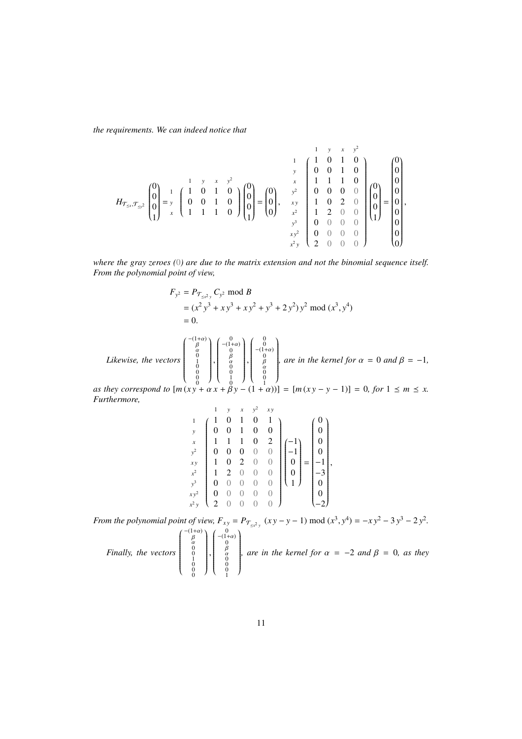*the requirements. We can indeed notice that*

$$
H_{\mathcal{T}_{\leq x},\mathcal{T}_{\leq y^2}}\begin{pmatrix}0\\0\\0\\1\end{pmatrix}=\begin{pmatrix}1 & y & x & y^2\\ 1 & 0 & 1 & 0\\ 0 & 0 & 1 & 0\\ 1 & 1 & 1 & 0\end{pmatrix}\begin{pmatrix}0\\0\\0\\0\\1\end{pmatrix}=\begin{pmatrix}0\\0\\0\\0\end{pmatrix}, \quad \begin{pmatrix}1 & y & x & y^2\\ y & 0 & 1 & 0\\ 0 & 0 & 1 & 0\\ 0 & 0 & 0 & 0\\ 0 & 0 & 0 & 0\\ 0 & 0 & 0 & 0\\ 0 & 0 & 0 & 0\end{pmatrix}\begin{pmatrix}0\\0\\0\\0\\1\end{pmatrix}=\begin{pmatrix}0\\0\\0\\0\\0\\0\end{pmatrix}, \quad \begin{pmatrix}0\\0\\0\\0\\0\\0\end{pmatrix}=\begin{pmatrix}0\\0\\0\\0\\0\\0\end{pmatrix}, \quad \begin{pmatrix}0\\0\\0\\0\\0\\0\end{pmatrix}=\begin{pmatrix}0\\0\\0\\0\\0\\0\\0\end{pmatrix}.
$$

*where the gray zeroes (*0*) are due to the matrix extension and not the binomial sequence itself. From the polynomial point of view,*

$$
F_{y^2} = P_{\mathcal{T}_{\leq x^2 y}} C_{y^2} \text{ mod } B
$$
  
=  $(x^2 y^3 + xy^3 + xy^2 + y^3 + 2 y^2) y^2 \text{ mod } (x^3, y^4)$   
= 0.

*Likewise, the vectors*  $\left( \begin{array}{c} -(1+\alpha) \ \beta \ \alpha \ 0 \ 1 \ 0 \ 0 \ 0 \ 0 \ 0 \end{array} \right)$  ſ  $\begin{array}{c} \hline \rule{0pt}{2.5ex} \rule{0pt}{2.5ex} \rule{0pt}{2.5ex} \rule{0pt}{2.5ex} \rule{0pt}{2.5ex} \rule{0pt}{2.5ex} \rule{0pt}{2.5ex} \rule{0pt}{2.5ex} \rule{0pt}{2.5ex} \rule{0pt}{2.5ex} \rule{0pt}{2.5ex} \rule{0pt}{2.5ex} \rule{0pt}{2.5ex} \rule{0pt}{2.5ex} \rule{0pt}{2.5ex} \rule{0pt}{2.5ex} \rule{0pt}{2.5ex} \rule{0pt}{2.5ex} \rule{0pt}{2.5ex} \$ ,  $\left( \begin{array}{c} 0 \\ - (1 + \alpha) \\ 0 \\ \beta \\ \alpha \\ 0 \\ 0 \\ 1 \\ 0 \end{array} \right)$  ſ  $\begin{array}{c} \hline \rule{0pt}{2.5ex} \rule{0pt}{2.5ex} \rule{0pt}{2.5ex} \rule{0pt}{2.5ex} \rule{0pt}{2.5ex} \rule{0pt}{2.5ex} \rule{0pt}{2.5ex} \rule{0pt}{2.5ex} \rule{0pt}{2.5ex} \rule{0pt}{2.5ex} \rule{0pt}{2.5ex} \rule{0pt}{2.5ex} \rule{0pt}{2.5ex} \rule{0pt}{2.5ex} \rule{0pt}{2.5ex} \rule{0pt}{2.5ex} \rule{0pt}{2.5ex} \rule{0pt}{2.5ex} \rule{0pt}{2.5ex} \$ ,  $\left( \begin{array}{c} 0 \\ 0 \\ -(1+\alpha) \\ 0 \\ \beta \\ \alpha \\ 0 \\ 0 \\ 1 \end{array} \right)$   $\mathcal{I}_{\mathcal{A}}$  $\begin{array}{c} \hline \end{array}$ *, are in the kernel for*  $\alpha = 0$  *and*  $\beta = -1$ *,* 

*as they correspond to*  $[m(x + \alpha x + \beta y - (1 + \alpha))] = [m(x + y - y - 1)] = 0$ , for  $1 \le m \le x$ . *Furthermore,*

$$
\begin{array}{c}\n1 & y & x & y^2 & xy \\
y & 0 & 0 & 1 & 0 & 1 \\
x & 1 & 1 & 1 & 0 & 2 \\
y^2 & 0 & 0 & 0 & 0 & 0 \\
x^2 & 1 & 2 & 0 & 0 & 0 \\
y^3 & 0 & 0 & 0 & 0 & 0 \\
y^4 & 0 & 0 & 0 & 0 & 0 \\
y^5 & 0 & 0 & 0 & 0 & 0 \\
y^6 & 0 & 0 & 0 & 0 & 0 \\
y^7 & 0 & 0 & 0 & 0 & 0 \\
y^8 & 0 & 0 & 0 & 0 & 0 \\
y^9 & 0 & 0 & 0 & 0 & 0 \\
y^2 & 0 & 0 & 0 & 0 & 0 \\
y^3 & 0 & 0 & 0 & 0 & 0 \\
y^4 & 0 & 0 & 0 & 0 & 0 \\
y^5 & 0 & 0 & 0 & 0 & 0 \\
y^6 & 0 & 0 & 0 & 0 & 0 \\
y^7 & 0 & 0 & 0 & 0 & 0 \\
y^8 & 0 & 0 & 0 & 0 & 0 \\
y^9 & 0 & 0 & 0 & 0 & 0 \\
y^8 & 0 & 0 & 0 & 0 & 0 \\
y^9 & 0 & 0 & 0 & 0 & 0 \\
y^9 & 0 & 0 & 0 & 0 & 0 \\
y^1 & 0 & 0 & 0 & 0 & 0 \\
y^2 & 0 & 0 & 0 & 0 & 0 \\
y^3 & 0 & 0 & 0 & 0 & 0 \\
y^4 & 0 &
$$

*From the polynomial point of view,*  $F_{xy} = P_{\mathcal{T}_{\leq x^2y}}(xy - y - 1) \text{ mod } (x^3, y^4) = -xy^2 - 3y^3 - 2y^2$ .

|  |  |  |  | $T_{xy}$ the vectors $\begin{pmatrix} \beta \\ \alpha \\ 0 \\ 0 \\ 0 \\ 0 \\ 0 \end{pmatrix}$ , $\begin{pmatrix} -(1+\alpha) \\ 0 \\ 0 \\ \alpha \\ 0 \\ 0 \\ 1 \end{pmatrix}$ , are in the kernel for $\alpha = -2$ and $\beta = 0$ , as $\cdots$ . |
|--|--|--|--|------------------------------------------------------------------------------------------------------------------------------------------------------------------------------------------------------------------------------------------------------|
|--|--|--|--|------------------------------------------------------------------------------------------------------------------------------------------------------------------------------------------------------------------------------------------------------|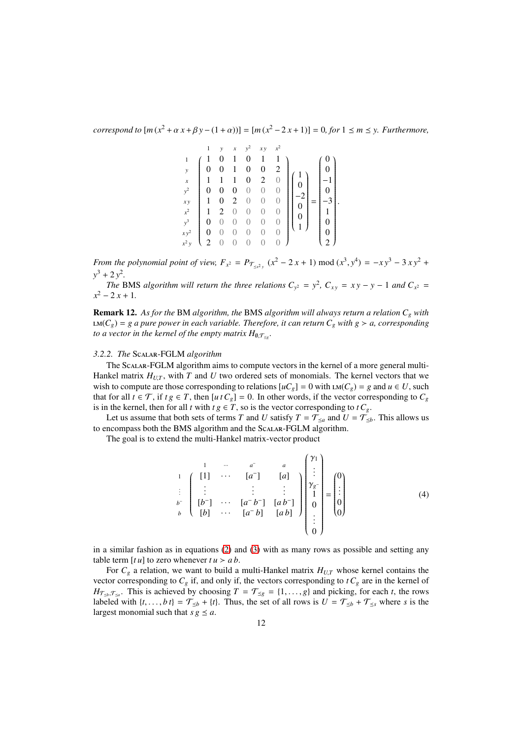*correspond to*  $[m(x^2 + \alpha x + \beta y - (1 + \alpha))] = [m(x^2 - 2x + 1)] = 0$ , for  $1 \le m \le y$ . Furthermore,

$$
\begin{array}{c|cccc}\n & 1 & y & x & y^2 & xy & x^2 \\
1 & 1 & 0 & 1 & 0 & 1 & 1 \\
y & 1 & 1 & 1 & 0 & 2 & 0 \\
y^2 & 0 & 0 & 0 & 0 & 0 & 0 \\
xy & 1 & 0 & 2 & 0 & 0 & 0 \\
x^2 & 1 & 2 & 0 & 0 & 0 & 0 \\
x^3 & 0 & 0 & 0 & 0 & 0 & 0 \\
y^2 & 0 & 0 & 0 & 0 & 0 & 0 \\
x^2 & 0 & 0 & 0 & 0 & 0 & 0 \\
x^2 & 0 & 0 & 0 & 0 & 0 & 0 \\
x^2 & 0 & 0 & 0 & 0 & 0 & 0\n\end{array}\n\begin{pmatrix}\n0 \\
1 \\
0 \\
-2 \\
0 \\
1 \\
0 \\
1\n\end{pmatrix} =\n\begin{pmatrix}\n0 \\
0 \\
-1 \\
-1 \\
-3 \\
1 \\
0 \\
0 \\
2\n\end{pmatrix}
$$

.

*From the polynomial point of view,*  $F_{x^2} = P_{\mathcal{T}_{\le x^2 y}}(x^2 - 2x + 1) \text{ mod } (x^3, y^4) = -xy^3 - 3xy^2 + 3xy^2$  $y^3 + 2y^2$ .

*The* BMS *algorithm will return the three relations*  $C_{y^2} = y^2$ ,  $C_{xy} = xy - y - 1$  *and*  $C_{x^2} =$  $x^2 - 2x + 1$ .

Remark 12. *As for the* BM *algorithm, the* BMS *algorithm will always return a relation C<sup>g</sup> with* lm(*Cg*) = *g a pure power in each variable. Therefore, it can return C<sup>g</sup> with g* ≻ *a, corresponding to a vector in the kernel of the empty matrix*  $H_{\emptyset,\mathcal{T}_{\leq g}}.$ 

### *3.2.2. The* Scalar-FGLM *algorithm*

The Scalar-FGLM algorithm aims to compute vectors in the kernel of a more general multi-Hankel matrix  $H_{U,T}$ , with *T* and *U* two ordered sets of monomials. The kernel vectors that we wish to compute are those corresponding to relations  $[uC_g] = 0$  with  $\text{LM}(C_g) = g$  and  $u \in U$ , such that for all  $t \in \mathcal{T}$ , if  $t g \in T$ , then  $[u t C_g] = 0$ . In other words, if the vector corresponding to  $C_g$ is in the kernel, then for all *t* with  $t g \in T$ , so is the vector corresponding to  $t C_g$ .

Let us assume that both sets of terms *T* and *U* satisfy  $T = \mathcal{T}_{\leq a}$  and  $U = \mathcal{T}_{\leq b}$ . This allows us to encompass both the BMS algorithm and the Scalar-FGLM algorithm.

The goal is to extend the multi-Hankel matrix-vector product

 1 ··· *a* <sup>−</sup> *a* <sup>1</sup> [1] · · · [*a* − ] [*a*] . . . . . . . . . . . . *b* − [*b* − ] · · · [*a* − *b* − ] [*a b*<sup>−</sup> ] *<sup>b</sup>* [*b*] · · · [*a* <sup>−</sup> *b*] [*a b*] γ1 . . . γ*g* − 1 0 . . . 0 = 0 . . . 0 0 (4)

in a similar fashion as in equations  $(2)$  and  $(3)$  with as many rows as possible and setting any table term  $[t u]$  to zero whenever  $t u > a b$ .

For  $C_g$  a relation, we want to build a multi-Hankel matrix  $H_{U,T}$  whose kernel contains the vector corresponding to  $C_g$  if, and only if, the vectors corresponding to  $tC_g$  are in the kernel of  $H_{\mathcal{T}_{\leq b},\mathcal{T}_{\leq a}}$ . This is achieved by choosing  $T = \mathcal{T}_{\leq g} = \{1,\ldots,g\}$  and picking, for each *t*, the rows labeled with  $\{t, \ldots, bt\} = \mathcal{T}_{\leq b} + \{t\}$ . Thus, the set of all rows is  $U = \mathcal{T}_{\leq b} + \mathcal{T}_{\leq s}$  where *s* is the largest monomial such that  $s g \leq a$ .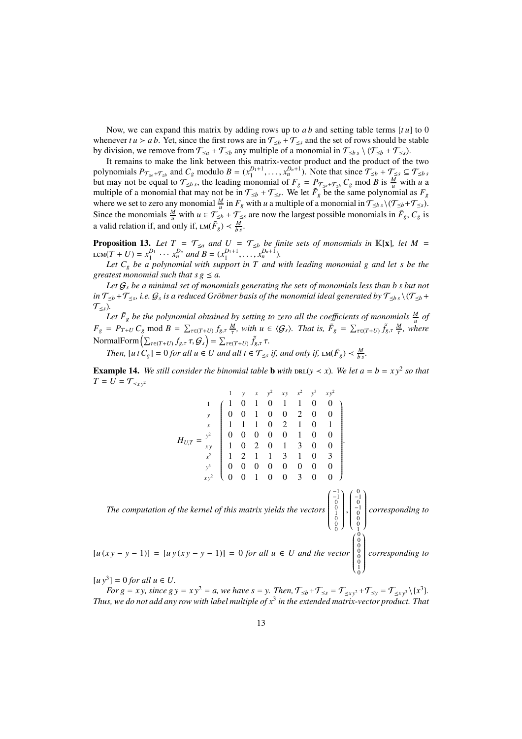Now, we can expand this matrix by adding rows up to *a b* and setting table terms [*t u*] to 0 whenever  $tu > ab$ . Yet, since the first rows are in  $\mathcal{T}_{\leq b} + \mathcal{T}_{\leq s}$  and the set of rows should be stable by division, we remove from  $\mathcal{T}_{\leq a} + \mathcal{T}_{\leq b}$  any multiple of a monomial in  $\mathcal{T}_{\leq b}$  s  $\setminus (\mathcal{T}_{\leq b} + \mathcal{T}_{\leq s})$ .

It remains to make the link between this matrix-vector product and the product of the two polynomials  $P_{\mathcal{T}_{\le a} + \mathcal{T}_{\le b}}$  and  $C_g$  modulo  $B = (x_1^{D_1+1}, \ldots, x_n^{D_n+1})$ . Note that since  $\mathcal{T}_{\le b} + \mathcal{T}_{\le s} \subseteq \mathcal{T}_{\le b,s}$ but may not be equal to  $\mathcal{T}_{\leq b,s}$ , the leading monomial of  $F_g = P_{\mathcal{T}_{\leq a}+\mathcal{T}_{\leq b}} C_g$  mod *B* is  $\frac{M}{u}$  with *u* a multiple of a monomial that may not be in  $\mathcal{T}_{\leq b} + \mathcal{T}_{\leq s}$ . We let  $\tilde{F}_g$  be the same polynomial as  $F_g$ where we set to zero any monomial  $\frac{M}{u}$  in  $F_g$  with *u* a multiple of a monomial in  $\mathcal{T}_{\leq b,s}\setminus(\mathcal{T}_{\leq b}+\mathcal{T}_{\leq s})$ . Since the monomials  $\frac{M}{u}$  with  $u \in \mathcal{T}_{\leq b} + \mathcal{T}_{\leq s}$  are now the largest possible monomials in  $\tilde{F}_g$ ,  $C_g$  is a valid relation if, and only if,  $LM(\tilde{F}_g) < \frac{M}{b_s}$ .

**Proposition 13.** Let  $T = T_{\leq a}$  and  $U = T_{\leq b}$  be finite sets of monomials in  $\mathbb{K}[x]$ , let  $M =$  $\text{LCM}(T+U) = x_1^{D_1} \cdots x_n^{D_n} \text{ and } B = (x_1^{D_1+1}, \ldots, x_n^{D_n+1}).$ 

Let  $C_g$  be a polynomial with support in T and with leading monomial g and let s be the *greatest monomial such that s g*  $\leq$  *a.* 

*Let* G*<sup>s</sup> be a minimal set of monomials generating the sets of monomials less than b s but not* in  $\mathcal{T}_{\leq b}$  +  $\mathcal{T}_{\leq s}$ , i.e.  $\mathcal{G}_s$  is a reduced Gröbner basis of the monomial ideal generated by  $\mathcal{T}_{\leq b}$  s  $\setminus$  ( $\mathcal{T}_{\leq b}$  +  $\mathcal{T}_{\leq s}$ ).

Let  $\tilde{F}_g$  be the polynomial obtained by setting to zero all the coefficients of monomials  $\frac{M}{u}$  of  $F_g = P_{T+U} C_g \text{ mod } B = \sum_{\tau \in (T+U)} f_{g,\tau} \frac{M}{\tau}$ , with  $u \in \langle G_s \rangle$ . That is,  $\tilde{F}_g = \sum_{\tau \in (T+U)} \tilde{f}_{g,\tau} \frac{M}{\tau}$ , where  $\text{NormalForm}\left(\sum_{\tau \in (T+U)} f_{g,\tau} \, \tau, \mathcal{G}_s\right) = \sum_{\tau \in (T+U)} \tilde{f}_{g,\tau} \, \tau.$ 

*Then,*  $[u \, t \, C_g] = 0$  *for all*  $u \in U$  *and all*  $t \in \mathcal{T}_{\leq s}$  *if, and only if,*  $\text{LM}(\tilde{F}_g) \lt \frac{M}{b s}$ *.* 

**Example 14.** We still consider the binomial table **b** with  $\text{DRL}(y \lt x)$ . We let  $a = b = xy^2$  so that  $T = U = \mathcal{T}_{\leq x,y^2}$ 

$$
H_{U,T} = \begin{pmatrix} 1 & y & x & y^2 & xy & x^2 & y^3 & xy^2 \\ 1 & 1 & 0 & 1 & 1 & 1 & 0 & 0 \\ y & 0 & 0 & 1 & 0 & 0 & 2 & 0 & 0 \\ 1 & 1 & 1 & 0 & 2 & 1 & 0 & 1 \\ 0 & 0 & 0 & 0 & 0 & 1 & 0 & 0 \\ x^2 & 1 & 2 & 1 & 1 & 3 & 1 & 0 & 3 \\ 0 & 0 & 0 & 0 & 0 & 0 & 0 & 0 & 0 \\ xy^3 & 0 & 0 & 1 & 0 & 0 & 3 & 0 & 0 \end{pmatrix}.
$$
  
\n
$$
H_{U,T} = \begin{pmatrix} 1 \\ y \\ xy^2 \end{pmatrix} \begin{pmatrix} 1 \\ 0 \\ 0 \\ 0 \\ 0 \end{pmatrix} \begin{pmatrix} 0 \\ 0 \\ 0 \\ 0 \\ 0 \\ 0 \end{pmatrix} \begin{pmatrix} 0 \\ 0 \\ 0 \\ 0 \\ 0 \\ 0 \end{pmatrix}.
$$
  
\nThe computation of the kernel of this matrix yields the vectors  $\begin{pmatrix} -1 \\ -1 \\ 0 \\ 0 \\ 0 \\ 0 \\ 0 \end{pmatrix} \begin{pmatrix} 0 \\ 0 \\ 0 \\ 0 \\ 0 \\ 0 \\ 0 \end{pmatrix}$  corresponding to  $[u(xy - y - 1)] = [uy(xy - y - 1)] = 0$  for all  $u \in U$  and the vector  $\begin{pmatrix} 0 \\ 0 \\ 0 \\ 0 \\ 0 \\ 0 \\ 0 \end{pmatrix}$  corresponding to

 $[u y^3] = 0$  *for all*  $u \in U$ .

*For g* = *xy, since gy* =  $xy^2$  = *a, we have s* = *y. Then,*  $\mathcal{T}_{\leq b} + \mathcal{T}_{\leq s} = \mathcal{T}_{\leq xy^2} + \mathcal{T}_{\leq y} = \mathcal{T}_{\leq xy^3} \setminus \{x^3\}.$ *Thus, we do not add any row with label multiple of x*<sup>3</sup> *in the extended matrix-vector product. That*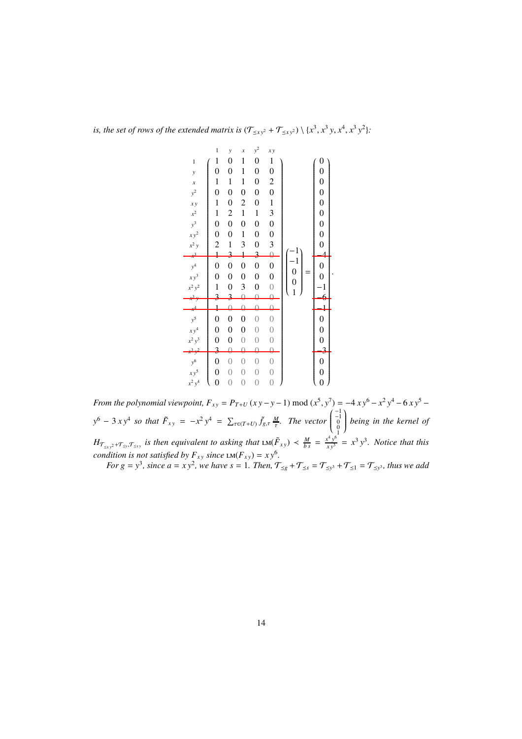is, the set of rows of the extended matrix is  $(\mathcal{T}_{\leq xy^2} + \mathcal{T}_{\leq xy^2}) \setminus \{x^3, x^3y, x^4, x^3y^2\}$ :

|                                                       | $\mathbf 1$             | $\mathcal{Y}$           | $\boldsymbol{x}$ | $y^2$            | x y              |                |                  |
|-------------------------------------------------------|-------------------------|-------------------------|------------------|------------------|------------------|----------------|------------------|
| $\mathbf{1}$                                          | $\mathbf{1}$            | $\boldsymbol{0}$        | $\mathbf{1}$     | $\boldsymbol{0}$ | $\mathbf 1$      |                | $\boldsymbol{0}$ |
| $\mathbf{y}$                                          | $\overline{0}$          | $\boldsymbol{0}$        | 1                | $\boldsymbol{0}$ | $\boldsymbol{0}$ |                | $\boldsymbol{0}$ |
| $\boldsymbol{x}$                                      | $\mathbf{1}$            | $\mathbf{1}$            | $\mathbf{1}$     | $\boldsymbol{0}$ | $\overline{c}$   |                |                  |
| $y^2$                                                 | $\boldsymbol{0}$        | $\boldsymbol{0}$        | $\boldsymbol{0}$ | $\boldsymbol{0}$ | $\boldsymbol{0}$ |                |                  |
| x y                                                   | $\mathbf{1}$            | $\boldsymbol{0}$        | $\overline{c}$   | $\boldsymbol{0}$ | $\mathbf 1$      |                |                  |
| $x^2$                                                 | $\mathbf{1}$            | $\overline{\mathbf{c}}$ | $\mathbf{1}$     | $\mathbf{1}$     | 3                |                |                  |
| $y^3$                                                 | $\boldsymbol{0}$        | $\boldsymbol{0}$        | $\boldsymbol{0}$ | $\boldsymbol{0}$ | $\boldsymbol{0}$ |                |                  |
| $xy^2$                                                | $\boldsymbol{0}$        | $\boldsymbol{0}$        | $\mathbf{1}$     | $\boldsymbol{0}$ | $\boldsymbol{0}$ |                |                  |
| $x^2$ y                                               | $\overline{\mathbf{c}}$ | $\mathbf{1}$            | 3                | $\boldsymbol{0}$ | 3                |                |                  |
|                                                       | $\ddagger$              | 3                       | $\ddagger$       | 3                | $\theta$         | 1              |                  |
| $y^4$<br>$xy^3$                                       | $\overline{0}$          | $\boldsymbol{0}$        | $\overline{0}$   | $\boldsymbol{0}$ | $\boldsymbol{0}$ | $\mathbf{1}$   | $\boldsymbol{0}$ |
|                                                       | $\overline{0}$          | $\boldsymbol{0}$        | $\overline{0}$   | $\boldsymbol{0}$ | $\boldsymbol{0}$ | $\mathbf{0}$   | $\overline{0}$   |
| $x^2y^2$                                              | $\mathbf{1}$            | $\boldsymbol{0}$        | 3                | $\boldsymbol{0}$ | $\sqrt{a}$       | $\mathbf{0}$   | $\mathbf{1}$     |
|                                                       | 3                       |                         | $\theta$         | $\theta$         | θ                | $\overline{1}$ | 6                |
|                                                       | $\frac{1}{2}$           |                         |                  |                  |                  |                | $\frac{1}{2}$    |
|                                                       | $\boldsymbol{0}$        | $\boldsymbol{0}$        | $\boldsymbol{0}$ | $\sqrt{a}$       | $\sqrt{a}$       |                |                  |
| $y^5$<br>$xy^4$                                       | $\boldsymbol{0}$        | $\boldsymbol{0}$        | $\overline{0}$   | $\overline{0}$   | $\overline{0}$   |                | $0 \atop 0 \t0$  |
| $x^2y^3$                                              | $\boldsymbol{0}$        | $\boldsymbol{0}$        | $\mathbf{0}$     | $\overline{0}$   | $\overline{0}$   |                |                  |
|                                                       | 3                       | θ                       | $\Theta$         | $\Theta$         | Q                |                |                  |
|                                                       | $\boldsymbol{0}$        | $\overline{0}$          | $\overline{0}$   | $\mathbf{0}$     | $\sqrt{a}$       |                |                  |
|                                                       | $\overline{0}$          | $\overline{0}$          | $\overline{0}$   | $\sqrt{a}$       | $\overline{0}$   |                | $0 \atop 0 \t0$  |
| $\begin{aligned} y^6\\ x y^5\\ x^2 y^4 \end{aligned}$ | $\overline{0}$          | $\overline{0}$          | $\overline{0}$   | $\overline{0}$   | $\sqrt{a}$       |                |                  |

.

*From the polynomial viewpoint,*  $F_{xy} = P_{T+U} (xy - y - 1) \text{ mod } (x^5, y^7) = -4 xy^6 - x^2 y^4 - 6 xy^5$  $y^6 - 3xy^4$  *so that*  $\tilde{F}_{xy} = -x^2y^4 = \sum_{\tau \in (T+U)} \tilde{f}_{g,\tau} \frac{M}{\tau}$ *. The vector*  $\left( \begin{array}{c} -1 \\ -1 \\ 0 \\ 0 \\ 1 \end{array} \right)$  $\overline{\mathcal{C}}$  $\mathcal{I}_{\mathcal{A}}$  $\int$ *being in the kernel of*  $H_{\mathcal{T}_{\leq x,y^2}+\mathcal{T}_{\leq y},\mathcal{T}_{\leq x,y}}$  *is then equivalent to asking that*  $LM(\tilde{F}_{xy}) < \frac{M}{bs} = \frac{x^4y^6}{xy^3} = x^3y^3$ *. Notice that this condition is not satisfied by*  $F_{xy}$  *since*  $LM(F_{xy}) = xy^6$ . *For g* = *y*<sup>3</sup>, since  $a = xy^2$ , we have  $s = 1$ . Then,  $\mathcal{T}_{\leq g} + \mathcal{T}_{\leq s} = \mathcal{T}_{\leq y^3} + \mathcal{T}_{\leq 1} = \mathcal{T}_{\leq y^3}$ , thus we add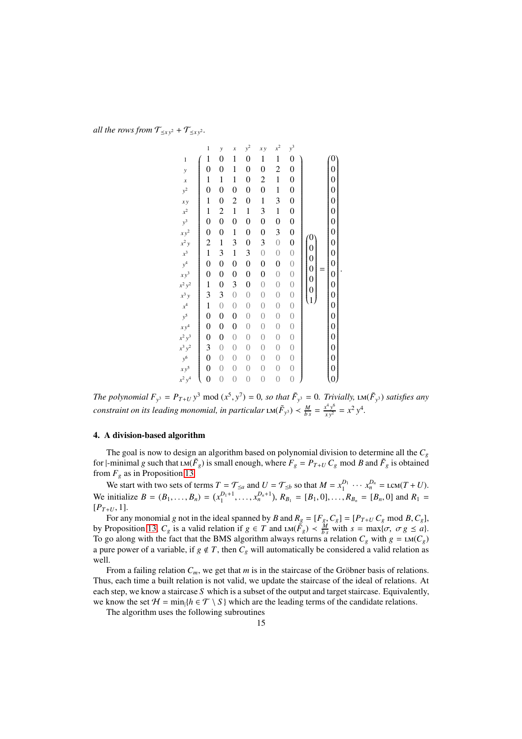*all the rows from*  $\mathcal{T}_{\leq x y^2} + \mathcal{T}_{\leq x y^2}$ *.* 

$$
\begin{bmatrix}\n1 & y & x & y^2 & xy & x^2 & y^3 \\
1 & 1 & 0 & 1 & 0 & 1 & 1 & 0 \\
0 & 0 & 1 & 0 & 0 & 2 & 0 \\
1 & 1 & 1 & 0 & 2 & 1 & 0 \\
1 & 0 & 2 & 0 & 1 & 3 & 0 \\
1 & 2 & 1 & 1 & 3 & 1 & 0 \\
0 & 0 & 0 & 0 & 0 & 0 & 0 \\
0 & 0 & 1 & 0 & 0 & 3 & 0 \\
0 & 0 & 0 & 0 & 0 & 0 & 0 \\
0 & 0 & 0 & 0 & 0 & 0 & 0 \\
0 & 0 & 0 & 0 & 0 & 0 & 0 \\
0 & 0 & 0 & 0 & 0 & 0 & 0 \\
0 & 0 & 0 & 0 & 0 & 0 & 0 \\
0 & 0 & 0 & 0 & 0 & 0 & 0 \\
0 & 0 & 0 & 0 & 0 & 0 & 0 \\
0 & 0 & 0 & 0 & 0 & 0 & 0 \\
0 & 0 & 0 & 0 & 0 & 0 & 0 \\
0 & 0 & 0 & 0 & 0 & 0 & 0 \\
0 & 0 & 0 & 0 & 0 & 0 & 0 \\
0 & 0 & 0 & 0 & 0 & 0 & 0 \\
0 & 0 & 0 & 0 & 0 & 0 & 0 \\
0 & 0 & 0 & 0 & 0 & 0 & 0 \\
0 & 0 & 0 & 0 & 0 & 0 & 0 \\
0 & 0 & 0 & 0 & 0 & 0 & 0 \\
0 & 0 & 0 & 0 & 0 & 0 & 0 \\
0 & 0 & 0 & 0 & 0 & 0 & 0 \\
0 & 0 & 0 & 0 & 0 & 0 & 0 \\
0 & 0 & 0 & 0 & 0 & 0 & 0 \\
0 & 0 & 0 & 0 & 0 & 0 & 0 \\
0 & 0 & 0 & 0 & 0 & 0 & 0 \\
0 & 0 & 0 & 0 & 0 & 0 & 0 \\
0 & 0 & 0 & 0 & 0 & 0 & 0 \\
0 & 0 & 0 & 0 & 0 & 0 & 0 \\
0 & 0 & 0 & 0 & 0 & 0 & 0 \\
0 & 0 & 0 & 0 & 0 & 0 & 0 \\
0 & 0 & 0 & 0 & 0 & 0 & 0 \\
0 & 0 & 0 & 0 & 0 & 0 & 0 \\
0 & 0 & 0 & 0
$$

*The polynomial*  $F_{y^3} = P_{T+U} y^3 \text{ mod } (x^5, y^7) = 0$ , so that  $\tilde{F}_{y^3} = 0$ . *Trivially*,  $LM(\tilde{F}_{y^3})$  *satisfies any constraint on its leading monomial, in particular*  $LM(\tilde{F}_{y^3}) < \frac{M}{bs} = \frac{x^4y^6}{xy^2} = x^2y^4$ *.* 

#### 4. A division-based algorithm

The goal is now to design an algorithm based on polynomial division to determine all the *C<sup>g</sup>* for  $|\text{-minimal } g$  such that  $LM(\tilde{F}_g)$  is small enough, where  $F_g = P_{T+U} C_g$  mod *B* and  $\tilde{F}_g$  is obtained from  $F_g$  as in Proposition 13.

We start with two sets of terms  $T = \mathcal{T}_{\leq a}$  and  $U = \mathcal{T}_{\leq b}$  so that  $M = x_1^{D_1} \cdots x_n^{D_n} = \text{lcm}(T + U)$ . We initialize  $B = (B_1, ..., B_n) = (x_1^{D_1+1}, ..., x_n^{D_n+1}), R_{B_1} = [B_1, 0], ..., R_{B_n} = [B_n, 0]$  and  $R_1 =$  $[P_{T+U}, 1].$ 

For any monomial *g* not in the ideal spanned by *B* and  $R_g = [F_g, C_g] = [P_{T+U} C_g \mod B, C_g]$ , by Proposition 13,  $C_g$  is a valid relation if  $g \in T$  and  $LM(\tilde{F}_g) < \frac{M}{bs}$  with  $s = \max{\lbrace \sigma, \ \sigma g \le a \rbrace}$ . To go along with the fact that the BMS algorithm always returns a relation  $C_g$  with  $g = \text{LM}(C_g)$ a pure power of a variable, if  $g \notin T$ , then  $C_g$  will automatically be considered a valid relation as well.

From a failing relation  $C_m$ , we get that  $m$  is in the staircase of the Gröbner basis of relations. Thus, each time a built relation is not valid, we update the staircase of the ideal of relations. At each step, we know a staircase *S* which is a subset of the output and target staircase. Equivalently, we know the set  $H = \min\{h \in \mathcal{T} \setminus S\}$  which are the leading terms of the candidate relations.

The algorithm uses the following subroutines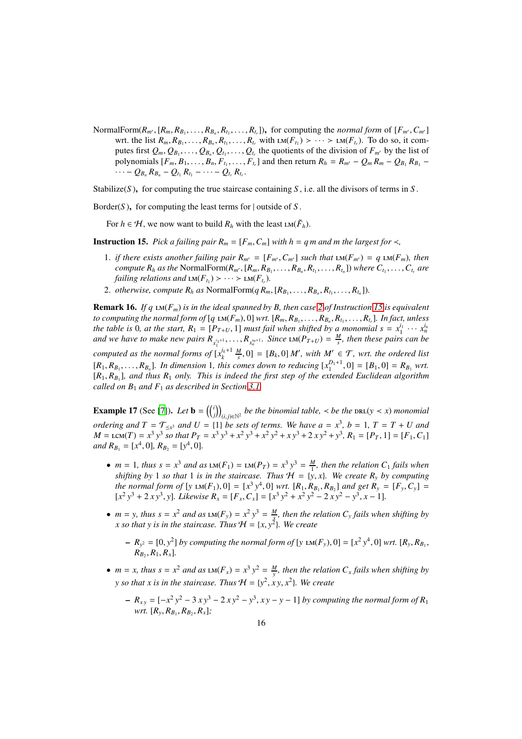NormalForm( $R_{m'}$ , [ $R_m$ ,  $R_{B_1}$ , ...,  $R_{B_n}$ ,  $R_{t_1}$ , ...,  $R_{t_r}$ ]), for computing the *normal form* of [ $F_{m'}$ ,  $C_{m'}$ ] wrt. the list  $R_m, R_{B_1}, \ldots, R_{B_n}, R_{t_1}, \ldots, R_{t_r}$  with  $LM(F_{t_1}) > \cdots > LM(F_{t_r})$ . To do so, it computes first  $Q_m, Q_{B_1}, \ldots, Q_{B_n}, Q_{t_1}, \ldots, Q_{t_r}$  the quotients of the division of  $F_{m'}$  by the list of polynomials  $[F_m, B_1, \ldots, B_n, F_{t_1}, \ldots, F_{t_r}]$  and then return  $R_h = R_{m'} - Q_m R_m - Q_{B_1} R_{B_1} \cdots - Q_{B_n} R_{B_n} - Q_{t_1} R_{t_1} - \cdots - Q_{t_r} R_{t_r}.$ 

Stabilize(*S*), for computing the true staircase containing *S*, i.e. all the divisors of terms in *S*.

Border( $S$ ), for computing the least terms for  $\vert$  outside of  $S$ .

For  $h \in \mathcal{H}$ , we now want to build  $R_h$  with the least  $\text{LM}(\tilde{F}_h)$ .

- **Instruction 15.** *Pick a failing pair*  $R_m = [F_m, C_m]$  *with h* = *q m and m the largest for* <*,* 
	- 1. *if there exists another failing pair*  $R_{m'} = [F_{m'}, C_{m'}]$  *such that*  $LM(F_{m'}) = q LM(F_m)$ *, then* compute  $R_h$  as the NormalForm( $R_{m'}$ , [ $R_m, R_{B_1}, \ldots, R_{B_n}, R_{t_1}, \ldots, R_{t_n}$ ]) where  $C_{t_1}, \ldots, C_{t_r}$  are *failing relations and*  $LM(F_{t_1}) > \cdots > LM(F_{t_r})$ .
	- 2. *otherwise, compute*  $R_h$  *as* NormalForm( $q R_m$ ,  $[R_{B_1}, \ldots, R_{B_n}, R_{t_1}, \ldots, R_{t_n}]$ ).

**Remark 16.** *If q*  $\text{LM}(F_m)$  *is in the ideal spanned by B, then case 2 of Instruction 15 is equivalent* to computing the normal form of  $[q \text{ LM}(F_m), 0]$  wrt.  $[R_m, R_{B_1}, \ldots, R_{B_n}, R_{t_1}, \ldots, R_{t_r}].$  In fact, unless *the table is* 0*, at the start,*  $R_1 = [P_{T+U}, 1]$  *must fail when shifted by a monomial*  $s = x_1^{i_1} \cdots x_n^{i_n}$ and we have to make new pairs  $R_{x_1^{i_1+1}}, \ldots, R_{x_n^{i_n+1}}$ . Since  $\text{LM}(P_{T+U}) = \frac{M}{s}$ , then these pairs can be *computed as the normal forms of*  $[x_k^{i_k+1} \frac{M}{s}, 0] = [B_k, 0] M'$ , with  $M' \in \mathcal{T}$ , wrt. the ordered list  $[R_1, R_{B_1}, \ldots, R_{B_n}]$ . In dimension 1, this comes down to reducing  $[x_1^{D_1+1}, 0] = [B_1, 0] = R_{B_1}$  wrt. [*R*1, *R<sup>B</sup>*<sup>1</sup> ]*, and thus R*<sup>1</sup> *only. This is indeed the first step of the extended Euclidean algorithm called on B*<sup>1</sup> *and F*<sup>1</sup> *as described in Section 3.1.*

**Example 17** (See [7]). Let  $\mathbf{b} = \begin{pmatrix} i \\ j \end{pmatrix}_{(i,j)\in\mathbb{N}^2}$  be the binomial table,  $\prec$  be the  $\text{DRL}(y \prec x)$  monomial *ordering and*  $T = \mathcal{T}_{\leq x^3}$  *and*  $U = \{1\}$  *be sets of terms. We have*  $a = x^3$ ,  $b = 1$ ,  $T = T + U$  *and*  $M = LCM(T) = x^3 y^3$  so that  $P_T = x^3 y^3 + x^2 y^3 + x^2 y^2 + xy^3 + 2 xy^2 + y^3$ ,  $R_1 = [P_T, 1] = [F_1, C_1]$  $and R_{B_1} = [x^4, 0], R_{B_2} = [y^4, 0].$ 

- $m = 1$ , thus  $s = x^3$  and as  $LM(F_1) = LM(P_T) = x^3 y^3 = \frac{M}{1}$ , then the relation  $C_1$  fails when *shifting by* 1 *so that* 1 *is in the staircase. Thus*  $H = \{y, x\}$ *. We create*  $R_y$  *by computing the normal form of* [*y*  $LM(F_1), 0$ ] =  $[x^3 y^4, 0]$  *wrt.*  $[R_1, R_{B_1}, R_{B_2}]$  *and get*  $R_y = [F_y, C_y]$  =  $[x^2y^3 + 2xy^3, y]$ *. Likewise*  $R_x = [F_x, C_x] = [x^3y^2 + x^2y^2 - 2xy^2 - y^3, x - 1]$ *.*
- $m = y$ , thus  $s = x^2$  and as  $\text{LM}(F_y) = x^2y^3 = \frac{M}{x}$ , then the relation  $C_y$  fails when shifting by *x* so that *y* is in the staircase. Thus  $H = \{x, y^2\}$ . We create
	- $-R_{y^2} = [0, y^2]$  by computing the normal form of [y LM( $F_y$ ), 0] = [ $x^2 y^4$ , 0] *wrt.* [ $R_y, R_{B_1}$ ,  $R_{B_2}, R_1, R_x]$ .
- $m = x$ , thus  $s = x^2$  and as  $\text{LM}(F_x) = x^3 y^2 = \frac{M}{y}$ , then the relation  $C_x$  fails when shifting by *y* so that x is in the staircase. Thus  $H = \{y^2, xy, x^2\}$ . We create
	- $P_1 R_{xy} = [-x^2y^2 3xy^3 2xy^2 y^3, xy y 1]$  *by computing the normal form of*  $R_1$ *wrt.*  $[R_y, R_{B_1}, R_{B_2}, R_x]$ ;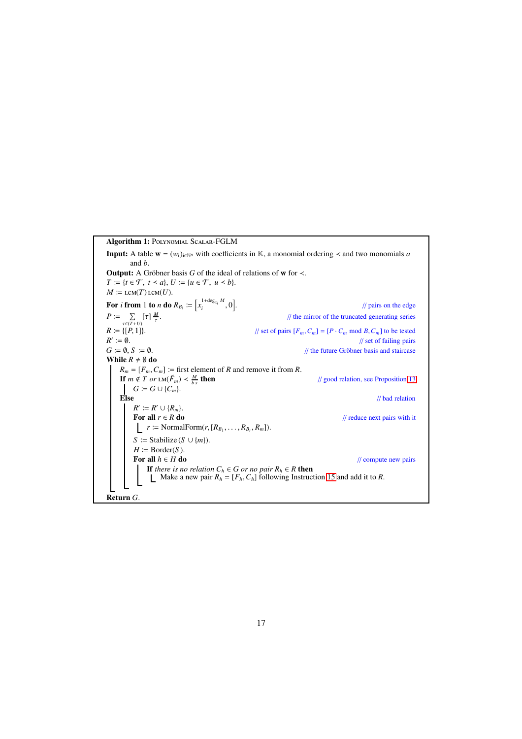Algorithm 1: Polynomial Scalar-FGLM **Input:** A table  $\mathbf{w} = (w_i)_{i \in \mathbb{N}^n}$  with coefficients in K, a monomial ordering  $\prec$  and two monomials *a* and *b*. **Output:** A Gröbner basis  $G$  of the ideal of relations of w for  $\prec$ .  $T \coloneqq \{t \in \mathcal{T}, t \leq a\}, U \coloneqq \{u \in \mathcal{T}, u \leq b\}.$  $M \coloneqq \text{lcm}(T) \text{lcm}(U)$ . For *i* from 1 to *n* do  $R_{B_i} := \left[x_i^{1+\deg_{x_i}M}\right]$  $\left[\begin{smallmatrix} 1+\deg_{x_i} & m & 0 \\ i & 0 & 0 \end{smallmatrix}\right]$  $\frac{1}{2}$  pairs on the edge  $P := \sum_{\tau \in (T+U)} [\tau] \frac{M}{\tau}$ . // the mirror of the truncated generating series  $R := \{ [P, 1] \}.$  // set of pairs  $[F_m, C_m] = [P \cdot C_m \mod B, C_m]$  to be tested *R'* :=  $\emptyset$ .<br>*G* :=  $\emptyset$ , *S* :=  $\emptyset$ . // set of failing pairs // the future Gröbner basis and staircase While  $R \neq \emptyset$  do  $R_m = [F_m, C_m] :=$  first element of *R* and remove it from *R*. **If**  $m \notin T$  or  $LM(\tilde{F}_m) < \frac{M}{h}$ // good relation, see Proposition 13  $G \coloneqq G \cup \{C_m\}.$ **Else** // bad relation  $R' \coloneqq R' \cup \{R_m\}.$ For all  $r \in R$  do // reduce next pairs with it  $r \coloneqq \text{NormalForm}(r, [R_{B_1}, \ldots, R_{B_r}, R_m]).$  $S \coloneqq$  Stabilize ( $S \cup \{m\}$ ). *H* ≔ Border(*S*).<br>**For all**  $h \in H$  **do** // compute new pairs If *there is no relation*  $C_h \in G$  *or no pair*  $R_h \in R$  **then** Make a new pair  $R_h = [F_h, C_h]$  following Instruction 15 and add it to *R*. Return *G*.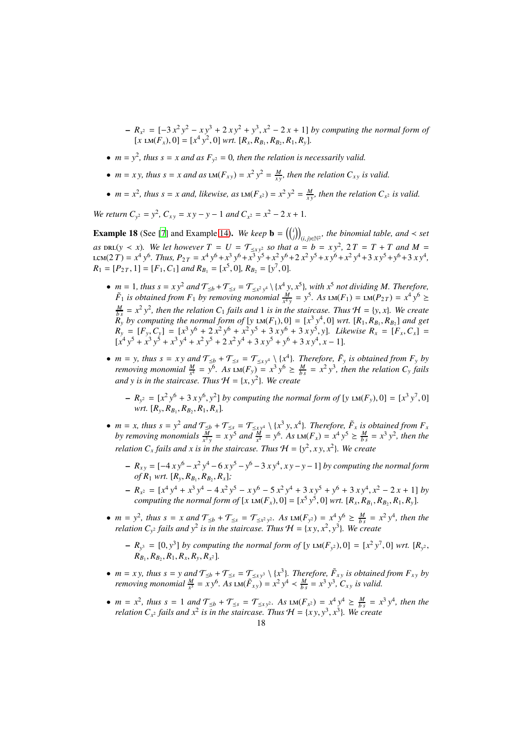- $R<sub>x</sub>2 = [-3x<sup>2</sup>y<sup>2</sup> xy<sup>3</sup> + 2xy<sup>2</sup> + y<sup>3</sup>, x<sup>2</sup> − 2x + 1]$  *by computing the normal form of*  $[x \text{ LM}(F_x), 0] = [x^4 y^2, 0] \text{ wrt. } [R_x, R_{B_1}, R_{B_2}, R_1, R_y].$
- $m = y^2$ , thus  $s = x$  and as  $F_{y^2} = 0$ , then the relation is necessarily valid.
- $m = xy$ , thus  $s = x$  and as  $LM(F_{xy}) = x^2 y^2 = \frac{M}{xy}$ , then the relation  $C_{xy}$  is valid.
- $m = x^2$ , thus  $s = x$  and, likewise, as  $LM(F_{x^2}) = x^2 y^2 = \frac{M}{xy}$ , then the relation  $C_{x^2}$  is valid.

*We return*  $C_{y^2} = y^2$ ,  $C_{xy} = xy - y - 1$  *and*  $C_{x^2} = x^2 - 2x + 1$ .

**Example 18** (See [7] and Example 14). *We keep*  $\mathbf{b} = \left(\binom{i}{j}\right)_{(i,j)\in\mathbb{N}^2}$ , the binomial table, and < set *as*  $\text{DRL}(y \lt x)$ *. We let however*  $T = U = \mathcal{T}_{\leq xy^2}$  *so that*  $a = b = xy^2$ ,  $2T = T + T$  *and*  $M = T$ LCM(2T) =  $x^4 y^6$ . Thus,  $P_{2T} = x^4 y^6 + x^3 y^6 + x^3 y^5 + x^2 y^6 + 2 x^2 y^5 + x y^6 + x^2 y^4 + 3 x y^5 + y^6 + 3 x y^4$ ,  $R_1 = [P_{2T}, 1] = [F_1, C_1]$  *and*  $R_{B_1} = [x^5, 0]$ *,*  $R_{B_2} = [y^7, 0]$ *.* 

- $m = 1$ *, thus*  $s = xy^2$  *and*  $\mathcal{T}_{\leq b} + \mathcal{T}_{\leq s} = \mathcal{T}_{\leq x^2y^4} \setminus \{x^4y, x^5\}$ *, with*  $x^5$  *not dividing M. Therefore,*  $\tilde{F}_1$  *is obtained from*  $F_1$  *by removing monomial*  $\frac{M}{x+y} = y^5$ *. As*  $LM(F_1) = LM(P_{2T}) = x^4 y^6 \ge$  $\frac{M}{b s} = x^2 y^2$ , then the relation C<sub>1</sub> fails and 1 is in the staircase. Thus  $H = \{y, x\}$ . We create  $R_y$  *by computing the normal form of* [*y*  $LM(F_1), 0] = [x^3 y^4, 0]$  *wrt.*  $[R_1, R_{B_1}, R_{B_2}]$  *and get*  $R_y = [F_y, C_y] = [x^3 y^6 + 2 x^2 y^6 + x^2 y^5 + 3 x y^6 + 3 x y^5, y]$ . Likewise  $R_x = [F_x, C_x] =$  $[x^4y^5 + x^3y^5 + x^3y^4 + x^2y^5 + 2x^2y^4 + 3xy^5 + y^6 + 3xy^4, x - 1]$ .
- $m = y$ , thus  $s = xy$  and  $\mathcal{T}_{\leq b} + \mathcal{T}_{\leq s} = \mathcal{T}_{\leq xy^4} \setminus \{x^4\}$ . Therefore,  $\tilde{F}_y$  is obtained from  $F_y$  by *removing monomial*  $\frac{M}{x^4} = y^6$ . As  $LM(F_y) = x^3 y^6 \ge \frac{M}{b^s} = x^2 y^3$ , then the relation  $C_y$  *fails and y is in the staircase. Thus*  $H = \{x, y^2\}$ *. We create* 
	- $-R_{y^2} = [x^2 y^6 + 3 x y^6, y^2]$  by computing the normal form of [y LM(*F*<sub>y</sub>), 0] = [x<sup>3</sup> y<sup>7</sup>, 0]  $wrt.$   $[R_y, R_{B_1}, R_{B_2}, R_1, R_x].$
- $m = x$ , thus  $s = y^2$  and  $\mathcal{T}_{\leq b} + \mathcal{T}_{\leq s} = \mathcal{T}_{\leq x y^4} \setminus \{x^3 y, x^4\}$ . Therefore,  $\tilde{F}_x$  is obtained from  $F_x$ by removing monomials  $\frac{M}{x^3y} = xy^5$  and  $\frac{M}{x^4} = y^6$ . As  $LM(F_x) = x^4y^5 \ge \frac{M}{bs} = x^3y^2$ , then the *relation*  $C_x$  *fails and*  $x$  *is in the staircase. Thus*  $H = \{y^2, xy, x^2\}$ *. We create* 
	- *Rx y* = [−4 *x y*<sup>6</sup> − *x* 2 *y* <sup>4</sup> −6 *x y*<sup>5</sup> −*y* <sup>6</sup> −3 *x y*<sup>4</sup> , *x y*−*y*−1] *by computing the normal form*  $of$   $R_1$  *wrt.*  $[R_y, R_{B_1}, R_{B_2}, R_x]$ ;
	- $R_{x^2} = [x^4 y^4 + x^3 y^4 4 x^2 y^5 x y^6 5 x^2 y^4 + 3 x y^5 + y^6 + 3 x y^4, x^2 2 x + 1]$  *by computing the normal form of*  $[x \text{ LM}(F_x), 0] = [x^5 y^5, 0]$  *wrt.*  $[R_x, R_{B_1}, R_{B_2}, R_1, R_y]$ .
- $m = y^2$ , thus  $s = x$  and  $\mathcal{T}_{\leq b} + \mathcal{T}_{\leq s} = \mathcal{T}_{\leq x^2 y^2}$ . As  $\text{LM}(F_{y^2}) = x^4 y^6 \geq \frac{M}{bs} = x^2 y^4$ , then the *relation*  $C_{y^2}$  *fails and*  $y^2$  *is in the staircase. Thus*  $\mathcal{H} = \{xy, x^2, y^3\}$ *. We create* 
	- $-R_{y^3} = [0, y^3]$  by computing the normal form of  $[y \text{ LM}(F_{y^2}), 0] = [x^2y^7, 0]$  wrt.  $[R_{y^2},$  $R_{B_1}, R_{B_2}, R_1, R_x, R_y, R_{x^2}$ ].
- $m = xy$ , thus  $s = y$  and  $\mathcal{T}_{\leq b} + \mathcal{T}_{\leq s} = \mathcal{T}_{\leq xy^3} \setminus \{x^3\}$ . Therefore,  $\tilde{F}_{xy}$  is obtained from  $F_{xy}$  by *removing monomial*  $\frac{M}{x^3} = xy^6$ . As  $\text{LM}(\tilde{F}_{xy}) = x^2 y^4 \lt \frac{M}{bs} = x^3 y^3$ ,  $C_{xy}$  *is valid.*
- $m = x^2$ , thus  $s = 1$  and  $\mathcal{T}_{\leq b} + \mathcal{T}_{\leq s} = \mathcal{T}_{\leq xy^2}$ . As  $\text{LM}(F_{x^2}) = x^4 y^4 \geq \frac{M}{bs} = x^3 y^4$ , then the *relation*  $C_{x^2}$  *fails and*  $x^2$  *is in the staircase. Thus*  $\mathcal{H} = \{xy, y^3, x^3\}$ *. We create*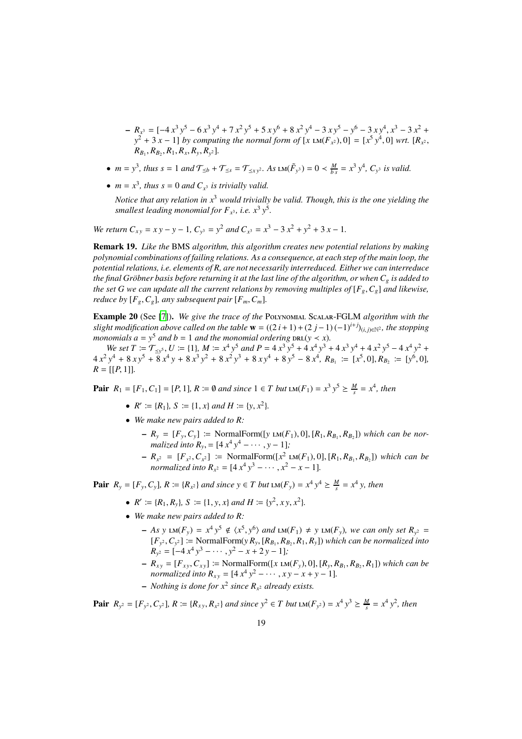$R_{x}$ <sup>3</sup> = [-4 *x*<sup>3</sup> *y*<sup>5</sup> - 6 *x*<sup>3</sup> *y*<sup>4</sup> + 7 *x*<sup>2</sup> *y*<sup>5</sup> + 5 *x y*<sup>6</sup> + 8 *x*<sup>2</sup> *y*<sup>4</sup> - 3 *x y*<sup>5</sup> - *y*<sup>6</sup> - 3 *x y*<sup>4</sup>, *x*<sup>3</sup> - 3 *x*<sup>2</sup> +  $y^2 + 3x - 1$ ] *by computing the normal form of*  $[x \text{ LM}(F_x), 0] = [x^5 y^4, 0]$  *wrt.*  $[R_x, x]$  $R_{B_1}, R_{B_2}, R_1, R_x, R_y, R_{y^2}$ ].

- $m = y^3$ , thus  $s = 1$  and  $\mathcal{T}_{\leq b} + \mathcal{T}_{\leq s} = \mathcal{T}_{\leq xy^2}$ . As  $\text{LM}(\tilde{F}_{y^3}) = 0 \lt \frac{M}{bs} = x^3 y^4$ ,  $C_{y^3}$  is valid.
- $m = x^3$ , thus  $s = 0$  and  $C_{x^3}$  is trivially valid.

*Notice that any relation in x*<sup>3</sup> *would trivially be valid. Though, this is the one yielding the* smallest leading monomial for  $F_{x^3}$ , i.e.  $x^3 y^5$ .

*We return*  $C_{xy} = xy - y - 1$ ,  $C_{y^3} = y^2$  and  $C_{x^3} = x^3 - 3x^2 + y^2 + 3x - 1$ .

Remark 19. *Like the* BMS *algorithm, this algorithm creates new potential relations by making polynomial combinations of failing relations. As a consequence, at each step of the main loop, the potential relations, i.e. elements of R, are not necessarily interreduced. Either we can interreduce the final Gröbner basis before returning it at the last line of the algorithm, or when*  $C_g$  *is added to the set G we can update all the current relations by removing multiples of*  $[F_g, C_g]$  *and likewise, reduce by*  $[F_g, C_g]$ *, any subsequent pair*  $[F_m, C_m]$ *.* 

Example 20 (See [7]). *We give the trace of the* Polynomial Scalar-FGLM *algorithm with the slight modification above called on the table*  $\mathbf{w} = ((2 \, i + 1) + (2 \, j - 1) (-1)^{i+j})_{(i,j) \in \mathbb{N}^2}$ , the stopping *monomials*  $a = y^5$  *and*  $b = 1$  *and the monomial ordering*  $\text{DRL}(y \lt x)$ *.* 

We set  $T := \mathcal{T}_{\leq y^5}$ ,  $U := \{1\}$ ,  $M := x^4 y^5$  and  $P = 4x^3 y^5 + 4x^4 y^3 + 4x^3 y^4 + 4x^2 y^5 - 4x^4 y^2 + 4x^2 y^5 - 4x^4 y^2$  $4x^2y^4 + 8xy^5 + 8x^4y + 8x^3y^2 + 8x^2y^3 + 8xy^4 + 8y^5 - 8x^4$ ,  $R_{B_1} := [x^5, 0], R_{B_2} := [y^6, 0],$  $R = [[P, 1]].$ 

**Pair**  $R_1 = [F_1, C_1] = [P, 1]$ ,  $R := ∅$  *and since*  $1 ∈ T$  *but*  $LM(F_1) = x^3 y^5 ≥ \frac{M}{s} = x^4$ , *then* 

- $R' := \{R_1\}, S := \{1, x\}$  *and*  $H := \{y, x^2\}.$
- *We make new pairs added to R:*
	- $-R_y = [F_y, C_y] := \text{NormalForm}([y \text{ LM}(F_1), 0], [R_1, R_{B_1}, R_{B_2}])$  which can be nor*malized into*  $R_y$ , =  $[4x^4y^4 - \cdots, y - 1]$ ;
	- $-R_{x^2} = [F_{x^2}, C_{x^2}] \coloneqq \text{NormalForm}([x^2 \text{ LM}(F_1), 0], [R_1, R_{B_1}, R_{B_2}])$  which can be *normalized into*  $R_{x^2} = [4x^4y^3 - \cdots, x^2 - x - 1]$ *.*

**Pair**  $R_y = [F_y, C_y]$ ,  $R := \{R_{x^2}\}\$ and since  $y \in T$  but  $LM(F_y) = x^4y^4 ≥ \frac{M}{s} = x^4y$ , then

- $R' := \{R_1, R_y\}, S := \{1, y, x\} \text{ and } H := \{y^2, xy, x^2\}.$
- *We make new pairs added to R:*
	- $-$  *As* y LM( $F_y$ ) =  $x^4 y^5 \notin \langle x^5, y^6 \rangle$  and LM( $F_1$ )  $\neq$  y LM( $F_y$ ), we can only set  $R_{y^2}$  =  $[F_{y^2}, C_{y^2}] \coloneqq$  NormalForm(*y R<sub>y</sub>*, [ $R_{B_1}, R_{B_2}, R_1, R_y$ ]) *which can be normalized into*  $R_{y^2} = [-4x^4y^3 - \cdots, y^2 - x + 2y - 1]$ ;
	- $-$  *R*<sub>*xy*</sub> = [*F*<sub>*xy*</sub>, *C<sub><i>xy*</sub>] := NormalForm([*x* LM(*F<sub>y</sub>*), 0], [*R<sub>y</sub>*, *R<sub>B<sub>1</sub></sub>*, *R<sub>B<sub>2</sub></sub>*, *R*<sub>1</sub>]) *which can be normalized into*  $R_{xy} = [4x^4y^2 - \cdots, xy - x + y - 1].$

- Nothing is done for 
$$
x^2
$$
 since  $R_{x^2}$  already exists.

**Pair**  $R_{y^2} = [F_{y^2}, C_{y^2}]$ ,  $R := \{R_{xy}, R_{x^2}\}\$ and since  $y^2 \in T$  but  $LM(F_{y^2}) = x^4 y^3 \ge \frac{M}{s} = x^4 y^2$ , then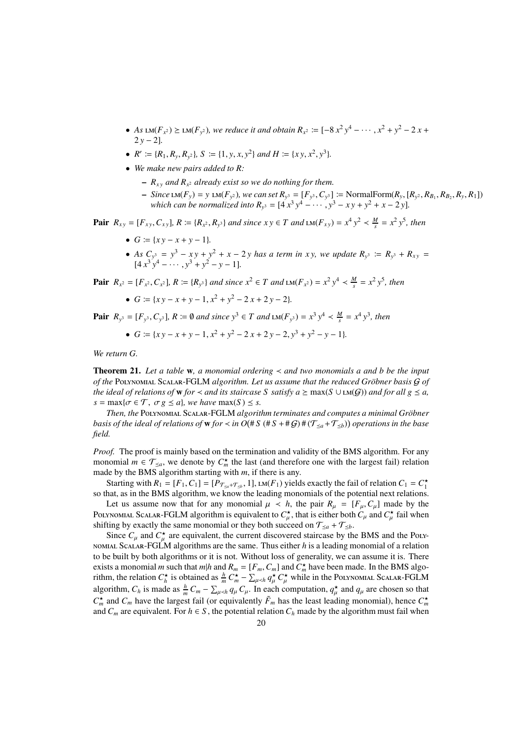- *As*  $LM(F_{x^2}) \geq LM(F_{y^2})$ , we reduce it and obtain  $R_{x^2} := [-8x^2y^4 \cdots, x^2 + y^2 2x +$  $2y - 2$ ].
- $R' := \{R_1, R_y, R_{y^2}\}, S := \{1, y, x, y^2\} \text{ and } H := \{xy, x^2, y^3\}.$
- *We make new pairs added to R:*
	- $R_{xy}$  *and*  $R_{x^2}$  *already exist so we do nothing for them.*
	- Since LM(F<sub>y</sub>) = y LM(F<sub>y</sub><sub>2</sub>), we can set  $R_{y^3} = [F_{y^3}, C_{y^3}] := \text{NormalForm}(R_y, [R_{y^2}, R_{B_1}, R_{B_2}, R_y, R_1])$ *which can be normalized into*  $R_{y^3} = [4x^3y^4 - \cdots, y^3 - xy + y^2 + x - 2y]$ .

**Pair**  $R_{xy} = [F_{xy}, C_{xy}]$ ,  $R := \{R_{x^2}, R_{y^3}\}\$ and since  $xy \in T$  and  $LM(F_{xy}) = x^4 y^2 < \frac{M}{s} = x^2 y^5$ , then

- $G := \{xy x + y 1\}.$
- *As*  $C_{y^3} = y^3 xy + y^2 + x 2y$  *has a term in xy, we update*  $R_{y^3} := R_{y^3} + R_{xy} =$  $[4x^3y^4 - \cdots, y^3 + y^2 - y - 1].$

**Pair**  $R_{x^2} = [F_{x^2}, C_{x^2}]$ ,  $R := \{R_{y^3}\}\$ and since  $x^2 \in T$  and  $LM(F_{x^2}) = x^2y^4 \lt \frac{M}{s} = x^2y^5$ , then

•  $G := \{ xy - x + y - 1, x^2 + y^2 - 2x + 2y - 2 \}.$ 

 $\textbf{Pair} \ \ R_{y^3} = [F_{y^3}, C_{y^3}], R \coloneqq \emptyset \ \text{and since } y^3 \in T \ \text{and } \text{LM}(F_{y^3}) = x^3 \ y^4 \lt \frac{M}{s} = x^4 \ y^3, \ \text{then }$ 

•  $G := \{ xy - x + y - 1, x^2 + y^2 - 2x + 2y - 2, y^3 + y^2 - y - 1 \}.$ 

*We return G.*

Theorem 21. *Let a table* w*, a monomial ordering* ≺ *and two monomials a and b be the input of the* Polynomial Scalar-FGLM *algorithm. Let us assume that the reduced Gr¨obner basis* G *of the ideal of relations of* **w** *for* < *and its staircase S satisfy*  $a \ge \max(S \cup \text{LM}(G))$  *<i>and for all*  $g \le a$ ,  $s = \max\{\sigma \in \mathcal{T}, \sigma g \leq a\}$ , we have  $\max(S) \leq s$ .

*Then, the* Polynomial Scalar-FGLM *algorithm terminates and computes a minimal Gr¨obner basis of the ideal of relations of w for*  $\prec$  *in O*(# S (# S + # G) # ( $\mathcal{T}_{\le a}$  +  $\mathcal{T}_{\le b}$ )) operations in the base *field.*

*Proof.* The proof is mainly based on the termination and validity of the BMS algorithm. For any monomial  $m \in \mathcal{T}_{\leq a}$ , we denote by  $C_m^*$  the last (and therefore one with the largest fail) relation made by the BMS algorithm starting with *m*, if there is any.

Starting with  $R_1 = [F_1, C_1] = [P_{\mathcal{T}_{\le a} + \mathcal{T}_{\le b}}, 1]$ , LM( $F_1$ ) yields exactly the fail of relation  $C_1 = C_1^*$ so that, as in the BMS algorithm, we know the leading monomials of the potential next relations.

Let us assume now that for any monomial  $\mu \prec h$ , the pair  $R_{\mu} = [F_{\mu}, C_{\mu}]$  made by the POLYNOMIAL SCALAR-FGLM algorithm is equivalent to  $C^{\star}_{\mu}$ , that is either both  $C_{\mu}$  and  $C^{\star}_{\mu}$  fail when shifting by exactly the same monomial or they both succeed on  $\mathcal{T}_{\leq a} + \mathcal{T}_{\leq b}$ .

Since  $C_{\mu}$  and  $C_{\mu}^{\star}$  are equivalent, the current discovered staircase by the BMS and the Polynomial Scalar-FGLM algorithms are the same. Thus either *h* is a leading monomial of a relation to be built by both algorithms or it is not. Without loss of generality, we can assume it is. There exists a monomial *m* such that *m*|*h* and  $R_m = [F_m, C_m]$  and  $C_m^*$  have been made. In the BMS algorithm, the relation  $C_h^*$  is obtained as  $\frac{h}{m} C_m^* - \sum_{\mu < h} q_\mu^* C_\mu^*$  while in the POLYNOMIAL SCALAR-FGLM algorithm,  $C_h$  is made as  $\frac{h}{m}C_m - \sum_{\mu \prec h} q_\mu C_\mu$ . In each computation,  $q_\mu^*$  and  $q_\mu$  are chosen so that  $C_m^*$  and  $C_m$  have the largest fail (or equivalently  $\tilde{F}_m$  has the least leading monomial), hence  $C_m^*$ and  $C_m$  are equivalent. For  $h \in S$ , the potential relation  $C_h$  made by the algorithm must fail when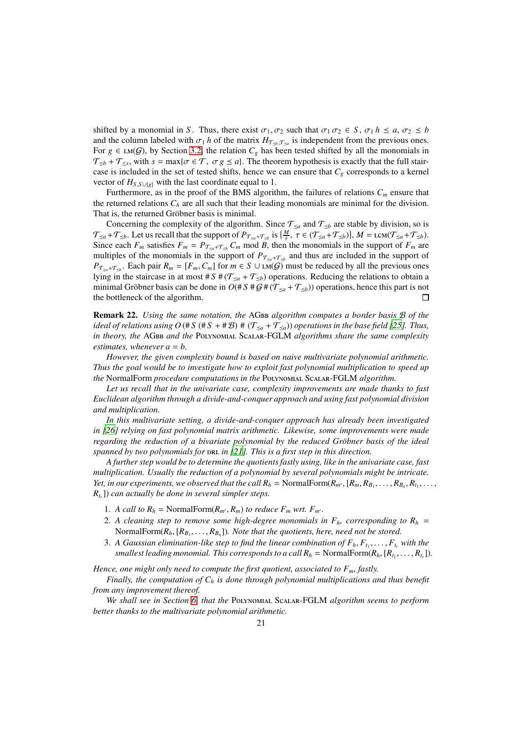shifted by a monomial in *S*. Thus, there exist  $\sigma_1, \sigma_2$  such that  $\sigma_1 \sigma_2 \in S$ ,  $\sigma_1 h \le a, \sigma_2 \le b$ and the column labeled with  $\sigma_1 h$  of the matrix  $H_{\mathcal{T}_{\leq b},\mathcal{T}_{\leq a}}$  is independent from the previous ones. For  $g \in LM(G)$ , by Section 3.2, the relation  $C_g$  has been tested shifted by all the monomials in  $\mathcal{T}_{\leq b} + \mathcal{T}_{\leq s}$ , with  $s = \max\{\sigma \in \mathcal{T}, \sigma g \leq a\}$ . The theorem hypothesis is exactly that the full staircase is included in the set of tested shifts, hence we can ensure that  $C_g$  corresponds to a kernel vector of  $H_{S,S\cup\{g\}}$  with the last coordinate equal to 1.

Furthermore, as in the proof of the BMS algorithm, the failures of relations  $C_m$  ensure that the returned relations  $C_h$  are all such that their leading monomials are minimal for the division. That is, the returned Gröbner basis is minimal.

Concerning the complexity of the algorithm. Since  $\mathcal{T}_{\leq a}$  and  $\mathcal{T}_{\leq b}$  are stable by division, so is  $\mathcal{T}_{\leq a} + \mathcal{T}_{\leq b}$ . Let us recall that the support of  $P_{\mathcal{T}_{\leq a} + \mathcal{T}_{\leq b}}$  is  $\{\frac{M}{\tau}, \tau \in (\mathcal{T}_{\leq a} + \mathcal{T}_{\leq b})\}, M = \text{lcm}(\mathcal{T}_{\leq a} + \mathcal{T}_{\leq b})$ . Since each  $F_m$  satisfies  $F_m = P_{\mathcal{T}_{\leq a} + \mathcal{T}_{\leq b}} C_m$  mod *B*, then the monomials in the support of  $F_m$  are multiples of the monomials in the support of  $P_{\mathcal{T}_{\leq a}+\mathcal{T}_{\leq b}}$  and thus are included in the support of  $P_{\mathcal{T}_{\leq a}+\mathcal{T}_{\leq b}}$ . Each pair  $R_m = [F_m, C_m]$  for  $m \in S \cup \widehat{\text{LM}(G)}$  must be reduced by all the previous ones lying in the staircase in at most #  $S$  # ( $\mathcal{T}_{\leq a}$  +  $\mathcal{T}_{\leq b}$ ) operations. Reducing the relations to obtain a minimal Gröbner basis can be done in  $O(FS \# G \# (T_{\leq a} + T_{\leq b}))$  operations, hence this part is not the bottleneck of the algorithm.  $\Box$ 

Remark 22. *Using the same notation, the* AGbb *algorithm computes a border basis* B *of the ideal of relations using O* (# *S* (# *S* + # *B*) # ( $\mathcal{T}_{\leq a}$  +  $\mathcal{T}_{\leq a}$ ) *operations in the base field [25]. Thus, in theory, the* AGbb *and the* Polynomial Scalar-FGLM *algorithms share the same complexity estimates, whenever a* = *b.*

*However, the given complexity bound is based on naive multivariate polynomial arithmetic. Thus the goal would be to investigate how to exploit fast polynomial multiplication to speed up the* NormalForm *procedure computations in the* Polynomial Scalar-FGLM *algorithm.*

*Let us recall that in the univariate case, complexity improvements are made thanks to fast Euclidean algorithm through a divide-and-conquer approach and using fast polynomial division and multiplication.*

*In this multivariate setting, a divide-and-conquer approach has already been investigated in [26] relying on fast polynomial matrix arithmetic. Likewise, some improvements were made regarding the reduction of a bivariate polynomial by the reduced Gröbner basis of the ideal spanned by two polynomials for DRL in [21]. This is a first step in this direction.* 

*A further step would be to determine the quotients fastly using, like in the univariate case, fast multiplication. Usually the reduction of a polynomial by several polynomials might be intricate. Yet, in our experiments, we observed that the call*  $R_h$  *= NormalForm(* $R_{m'}$ *, [* $R_m$ *,*  $R_{B_1}$ *, ...,*  $R_{B_n}$ *,*  $R_{t_1}$ *, ..., Rtr* ]) *can actually be done in several simpler steps.*

- 1. *A call to*  $R_h$  = NormalForm( $R_{m'}$ ,  $R_m$ ) *to reduce*  $F_m$  *wrt.*  $F_{m'}$ .
- 2. A cleaning step to remove some high-degree monomials in  $F_h$ , corresponding to  $R_h$  = NormalForm( $R_h$ ,  $[R_{B_1}, \ldots, R_{B_n}]$ )*. Note that the quotients, here, need not be stored.*
- 3. A Gaussian elimination-like step to find the linear combination of  $F_h, F_{t_1}, \ldots, F_{t_r}$  with the *smallest leading monomial. This corresponds to a call*  $R_h$  *= NormalForm(* $R_h$ *, [* $R_{t_1}, \ldots, R_{t_r}$ *]).*

*Hence, one might only need to compute the first quotient, associated to Fm, fastly.*

*Finally, the computation of C<sup>h</sup> is done through polynomial multiplications and thus benefit from any improvement thereof.*

*We shall see in Section 6, that the* Polynomial Scalar-FGLM *algorithm seems to perform better thanks to the multivariate polynomial arithmetic.*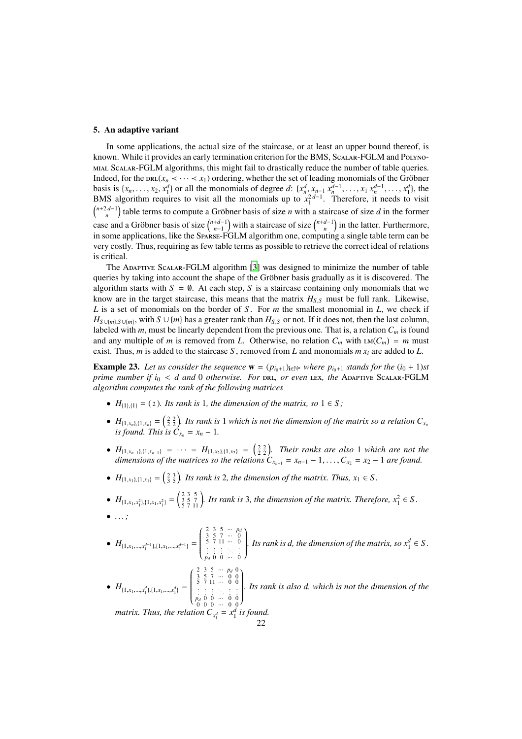#### 5. An adaptive variant

In some applications, the actual size of the staircase, or at least an upper bound thereof, is known. While it provides an early termination criterion for the BMS, Scalar-FGLM and Polynomial Scalar-FGLM algorithms, this might fail to drastically reduce the number of table queries. Indeed, for the  $DRL(x_n < \cdots < x_1)$  ordering, whether the set of leading monomials of the Gröbner basis is  $\{x_n, \ldots, x_2, x_1^d\}$  or all the monomials of degree d:  $\{x_n^d, x_{n-1}, x_n^{d-1}, \ldots, x_1, x_n^{d-1}, \ldots, x_1^d\}$ , the BMS algorithm requires to visit all the monomials up to  $x_1^{2d-1}$ . Therefore, it needs to visit  $\binom{n+2d-1}{n}$  table terms to compute a Gröbner basis of size *n* with a staircase of size *d* in the former case and a Gröbner basis of size  $\binom{n+d-1}{n-1}$  with a staircase of size  $\binom{n+d-1}{n}$  in the latter. Furthermore, in some applications, like the Sparse-FGLM algorithm one, computing a single table term can be very costly. Thus, requiring as few table terms as possible to retrieve the correct ideal of relations is critical.

The Adaptive Scalar-FGLM algorithm [3] was designed to minimize the number of table queries by taking into account the shape of the Gröbner basis gradually as it is discovered. The algorithm starts with  $S = \emptyset$ . At each step, S is a staircase containing only monomials that we know are in the target staircase, this means that the matrix  $H_{S,S}$  must be full rank. Likewise, *L* is a set of monomials on the border of *S* . For *m* the smallest monomial in *L*, we check if *H*<sub>*S*∪{*m*}</sub>, with *S* ∪{*m*} has a greater rank than  $H_{S,S}$  or not. If it does not, then the last column, labeled with *m*, must be linearly dependent from the previous one. That is, a relation  $C_m$  is found and any multiple of *m* is removed from *L*. Otherwise, no relation  $C_m$  with  $LM(C_m) = m$  must exist. Thus, *m* is added to the staircase *S*, removed from *L* and monomials  $m x_i$  are added to *L*.

**Example 23.** Let us consider the sequence  $\mathbf{w} = (p_{i_0+1})_{i \in \mathbb{N}^n}$  where  $p_{i_0+1}$  stands for the  $(i_0 + 1)$ st *prime number if i<sub>0</sub> < <i>d and* 0 *otherwise. For DRL, or even* LEX, the ADAPTIVE SCALAR-FGLM *algorithm computes the rank of the following matrices*

- $H_{\{1\},\{1\}} = (2)$ *. Its rank is* 1*, the dimension of the matrix, so*  $1 \in S$ *;*
- $H_{\{1,x_n\},\{1,x_n\}} = \left(\frac{2}{2}\frac{2}{2}\right)$ . Its rank is 1 which is not the dimension of the matrix so a relation  $C_{x_n}$ *is found. This is*  $\dot{C}_{x_n} = x_n - 1$ .
- $H_{\{1,x_{n-1}\},\{1,x_{n-1}\}} = \cdots = H_{\{1,x_2\},\{1,x_2\}} = \left(\begin{matrix} 2 & 2 \\ 2 & 2 \end{matrix}\right)$ *. Their ranks are also* 1 *which are not the dimensions of the matrices so the relations*  $C_{x_{n-1}} = x_{n-1} - 1, \ldots, C_{x_2} = x_2 - 1$  *are found.*
- $H_{\{1,x_1\},\{1,x_1\}} = \left(\frac{2}{3}, \frac{3}{5}\right)$ *. Its rank is* 2*, the dimension of the matrix. Thus, x*<sub>1</sub>  $\in$  *S.*
- $H_{\{1, x_1, x_1^2\}, \{1, x_1, x_1^2\}} = \begin{pmatrix} 2 & 3 & 5 \\ 3 & 5 & 7 \\ 5 & 7 & 11 \end{pmatrix}$ . *Its rank is* 3*, the dimension of the matrix. Therefore,*  $x_1^2 \in S$ . • *. . . ;*
- $H_{\{1, x_1, \ldots, x_1^{d-1}\}, \{1, x_1, \ldots, x_1^{d-1}\}} =$  $\left( \begin{array}{cccccc} 2 & 3 & 5 & \cdots & p_d \\ 3 & 5 & 7 & \cdots & 0 \\ 5 & 7 & 11 & \cdots & 0 \\ \vdots & \vdots & \vdots & \ddots & \vdots \end{array} \right)$  $\overline{\phantom{a}}$ *p<sup>d</sup>* 0 0 ··· 0 Í  $\begin{array}{c} \hline \end{array}$ *a Its rank is d, the dimension of the matrix, so*  $x_1^d \in S$ .
	- $H_{\{1, x_1, \ldots, x_1^d\}, \{1, x_1, \ldots, x_1^d\}} =$  $\left( \begin{array}{cccccc} 2 & 3 & 5 & \cdots & p_d & 0 \\ 3 & 5 & 7 & \cdots & 0 & 0 \\ 5 & 7 & 11 & \cdots & 0 & 0 \\ \vdots & \vdots & \vdots & \ddots & \vdots & \vdots \\ p_d & 0 & 0 & \cdots & 0 & 0 \\ 0 & 0 & 0 & \cdots & 0 & 0 \end{array} \right)$  $\overline{\phantom{a}}$  $\mathcal{I}_{\mathcal{A}}$  $\begin{array}{c} \hline \end{array}$ *. Its rank is also d, which is not the dimension of the matrix. Thus, the relation*  $C_{x_1^d} = x_1^d$  *is found.*

22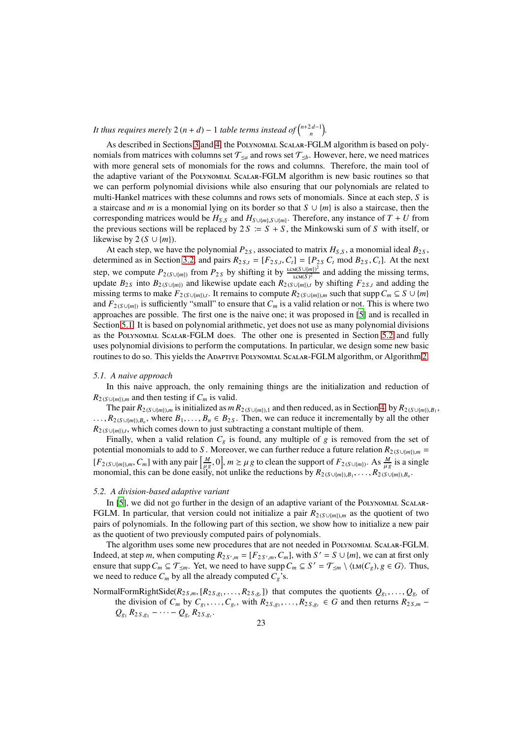*It thus requires merely*  $2(n + d) - 1$  *table terms instead of*  $\binom{n+2d-1}{n}$ .

As described in Sections 3 and 4, the Polynomial Scalar-FGLM algorithm is based on polynomials from matrices with columns set  $\mathcal{T}_{\leq a}$  and rows set  $\mathcal{T}_{\leq b}$ . However, here, we need matrices with more general sets of monomials for the rows and columns. Therefore, the main tool of the adaptive variant of the Polynomial Scalar-FGLM algorithm is new basic routines so that we can perform polynomial divisions while also ensuring that our polynomials are related to multi-Hankel matrices with these columns and rows sets of monomials. Since at each step, *S* is a staircase and *m* is a monomial lying on its border so that *S* ∪ {*m*} is also a staircase, then the corresponding matrices would be  $H_{S,S}$  and  $H_{S\cup{m},S\cup{m}}$ . Therefore, any instance of  $T + U$  from the previous sections will be replaced by  $2S = S + S$ , the Minkowski sum of *S* with itself, or likewise by 2 ( $S \cup \{m\}$ ).

At each step, we have the polynomial  $P_{2S}$ , associated to matrix  $H_{S,S}$ , a monomial ideal  $B_{2S}$ , determined as in Section 3.2, and pairs  $R_{2S,t} = [F_{2S,t}, C_t] = [P_{2S} C_t \text{ mod } B_{2S}, C_t]$ . At the next step, we compute  $P_{2(S\cup\{m\})}$  from  $P_{2S}$  by shifting it by  $\frac{\text{LCM}(S\cup\{m\})^2}{\text{LCM}(S)^2}$  and adding the missing terms, update  $B_{2S}$  into  $B_{2(S\cup{m})}$  and likewise update each  $R_{2(S\cup{m})}$ , by shifting  $F_{2S,t}$  and adding the missing terms to make  $F_{2(S\cup{m})\setminus t}$ . It remains to compute  $R_{2(S\cup{m})\setminus m}$  such that supp  $C_m \subseteq S \cup \{m\}$ and  $F_{2(S \cup \{m\})}$  is sufficiently "small" to ensure that  $C_m$  is a valid relation or not. This is where two approaches are possible. The first one is the naive one; it was proposed in [5] and is recalled in Section 5.1. It is based on polynomial arithmetic, yet does not use as many polynomial divisions as the Polynomial Scalar-FGLM does. The other one is presented in Section 5.2 and fully uses polynomial divisions to perform the computations. In particular, we design some new basic routines to do so. This yields the ADAPTIVE POLYNOMIAL SCALAR-FGLM algorithm, or Algorithm 2.

#### *5.1. A naive approach*

In this naive approach, the only remaining things are the initialization and reduction of  $R_{2(S\cup\{m\}),m}$  and then testing if  $C_m$  is valid.

The pair  $R_{2(S\cup\{m\}),m}$  is initialized as  $m R_{2(S\cup\{m\}),1}$  and then reduced, as in Section 4, by  $R_{2(S\cup\{m\}),B_1}$ ,  $\ldots$ ,  $R_{2(S\cup\{m\},B_n)}$ , where  $B_1,\ldots,B_n \in B_{2S}$ . Then, we can reduce it incrementally by all the other  $R_{2(S \cup \{m\}),t}$ , which comes down to just subtracting a constant multiple of them.

Finally, when a valid relation  $C_g$  is found, any multiple of  $g$  is removed from the set of potential monomials to add to *S*. Moreover, we can further reduce a future relation  $R_{2(S\cup{m})},$  =  $[F_{2(S \cup \{m\}),m}, C_m]$  with any pair  $\left[\frac{M}{\mu g}, 0\right]$ ,  $m \ge \mu g$  to clean the support of  $F_{2(S \cup \{m\})}$ . As  $\frac{M}{\mu g}$  is a single monomial, this can be done easily, not unlike the reductions by  $R_{2(S\cup\{m\}),B_1}, \ldots, R_{2(S\cup\{m\}),B_n}$ .

#### *5.2. A division-based adaptive variant*

In [5], we did not go further in the design of an adaptive variant of the POLYNOMIAL SCALAR-FGLM. In particular, that version could not initialize a pair  $R_{2(S\cup{m})\setminus{m}}$  as the quotient of two pairs of polynomials. In the following part of this section, we show how to initialize a new pair as the quotient of two previously computed pairs of polynomials.

The algorithm uses some new procedures that are not needed in Polynomial Scalar-FGLM. Indeed, at step *m*, when computing  $R_{2S',m} = [F_{2S',m}, C_m]$ , with  $S' = S \cup \{m\}$ , we can at first only ensure that supp  $C_m \subseteq \mathcal{T}_{\leq m}$ . Yet, we need to have supp  $C_m \subseteq S' = \mathcal{T}_{\leq m} \setminus \langle \text{LM}(C_g), g \in G \rangle$ . Thus, we need to reduce  $C_m$  by all the already computed  $C_g$ 's.

NormalFormRightSide( $R_{2S,m}$ ,  $[R_{2S,g_1},...,R_{2S,g_r}]$ ) that computes the quotients  $Q_{g_1},...,Q_{g_r}$  of the division of  $C_m$  by  $C_{g_1}, \ldots, C_{g_r}$ , with  $R_{2S,g_1}, \ldots, R_{2S,g_r} \in G$  and then returns  $R_{2S,m}$  –  $Q_{g_1} R_{2S,g_1} - \cdots - Q_{g_r} R_{2S,g_r}.$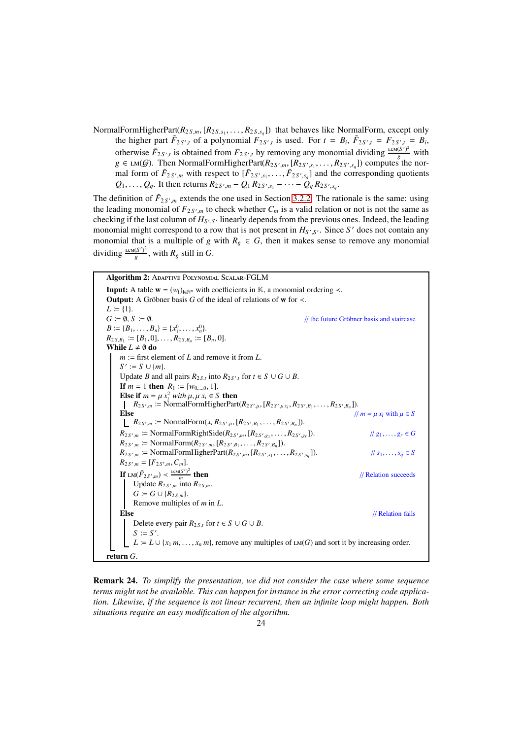NormalFormHigherPart( $R_{2S,m}$ , [ $R_{2S,s_1}, \ldots, R_{2S,s_q}$ ]) that behaves like NormalForm, except only the higher part  $\tilde{F}_{2S',t}$  of a polynomial  $F_{2S',t}$  is used. For  $t = B_i$ ,  $\tilde{F}_{2S',t} = F_{2S',t} = B_i$ , otherwise  $\tilde{F}_{2S',t}$  is obtained from  $F_{2S',t}$  by removing any monomial dividing  $\frac{LCM(S')^2}{g}$  $\frac{(S')^2}{g}$  with *g* ∈ **LM**(*G*). Then NormalFormHigherPart( $R$ <sub>2 *S'*,*m*</sub>, [ $R$ <sub>2 *S'*, *s*<sub>1</sub></sub>, . . . . ,  $R$ <sub>2</sub> *S'*, *s*<sub>4</sub>]) computes the normal form of  $\tilde{F}_{2S',m}$  with respect to  $[\tilde{F}_{2S',s_1}, \ldots, \tilde{F}_{2S',s_q}]$  and the corresponding quotients  $Q_1, \ldots, Q_q$ . It then returns  $R_{2, S', m} - Q_1 R_{2, S', s_1} - \cdots - Q_q R_{2, S', s_q}$ .

The definition of  $F_{2S',m}$  extends the one used in Section 3.2.2. The rationale is the same: using the leading monomial of  $F_{2, S', m}$  to check whether  $C_m$  is a valid relation or not is not the same as checking if the last column of  $H_{S',S'}$  linearly depends from the previous ones. Indeed, the leading monomial might correspond to a row that is not present in  $H_{S',S'}$ . Since S' does not contain any monomial that is a multiple of *g* with  $R_g \in G$ , then it makes sense to remove any monomial dividing  $\frac{\text{LCM}(S')^2}{q}$  $\frac{(S')^2}{g}$ , with  $R_g$  still in *G*.

Algorithm 2: Adaptive Polynomial Scalar-FGLM **Input:** A table  $\mathbf{w} = (w_i)_{i \in \mathbb{N}^n}$  with coefficients in K, a monomial ordering  $\prec$ . **Output:** A Gröbner basis *G* of the ideal of relations of w for  $\prec$ .  $L := \{1\}.$  $G \coloneqq \emptyset$ ,  $S \coloneqq \emptyset$ .  $\blacksquare$  *Grammath Signer basis and staircase // the future Gröbner basis and staircase*  $B := \{B_1, \ldots, B_n\} = \{x_1^0, \ldots, x_n^0\}.$  $R_{2 S, B_1} \coloneqq [B_1, 0], \ldots, R_{2 S, B_n} \coloneqq [B_n, 0].$ While  $L \neq \emptyset$  do *m* := first element of *L* and remove it from *L*.  $S' := S \cup \{m\}.$ Update *B* and all pairs  $R_{2S,t}$  into  $R_{2S',t}$  for  $t \in S \cup G \cup B$ . **If** *m* = 1 **then**  $R_1$   $:=$  [*w*<sub>0,...,0</sub>, 1]. Else if  $m = \mu x_i^2$  *with*  $\mu, \mu x_i \in S$  then  $R_{2, S', m} := \text{NormalFormHigherPart}(R_{2, S', \mu}, [R_{2, S', \mu, R_{2, S', B_1}, \ldots, R_{2, S', B_n}]).$ Else  $\| m = \mu x_i \text{ with } \mu \in S$  $R_{2, S', m} \coloneqq \text{NormalForm}(x_i R_{2, S', \mu}, [R_{2, S', B_1}, \ldots, R_{2, S', B_n}]).$  $R_{2, S', m} \coloneqq$  NormalFormRightSide( $R_{2, S', m}$ , [ $R_{2, S', g_1}, \ldots, R_{2, S', g_r}$  $// g_1, ..., g_r ∈ G$  $R_{2S',m} \coloneqq \text{NormalForm}(R_{2S',m}, [R_{2S',B_1}, \ldots, R_{2S',B_n}]).$  $R_{2, S', m} \coloneqq \text{NormalFormHigherPart}(R_{2, S', m}, [R_{2, S', s_1}, \ldots, R_{2, S', s_q}]$  $\|$  *s*<sub>1</sub>, . . . , *s*<sub>*a*</sub>  $\in$  *S*  $R_{2, S', m} = [F_{2, S', m}, C_m].$ If  $LM(\tilde{F}_{2S',m}) < \frac{LCM(S')^2}{m}$ Update  $R_{2, S', m}$  into  $R_{2, S, m}$ . // Relation succeeds *G*  $:= G ∪ \{R_{2S,m}\}.$ Remove multiples of *m* in *L*. Else // Relation fails Delete every pair  $R_{2 S,t}$  for  $t \in S \cup G \cup B$ .  $S \coloneqq S'.$  $L := L \cup \{x_1 m, \ldots, x_n m\}$ , remove any multiples of  $LM(G)$  and sort it by increasing order. return *G*.

Remark 24. *To simplify the presentation, we did not consider the case where some sequence terms might not be available. This can happen for instance in the error correcting code application. Likewise, if the sequence is not linear recurrent, then an infinite loop might happen. Both situations require an easy modification of the algorithm.*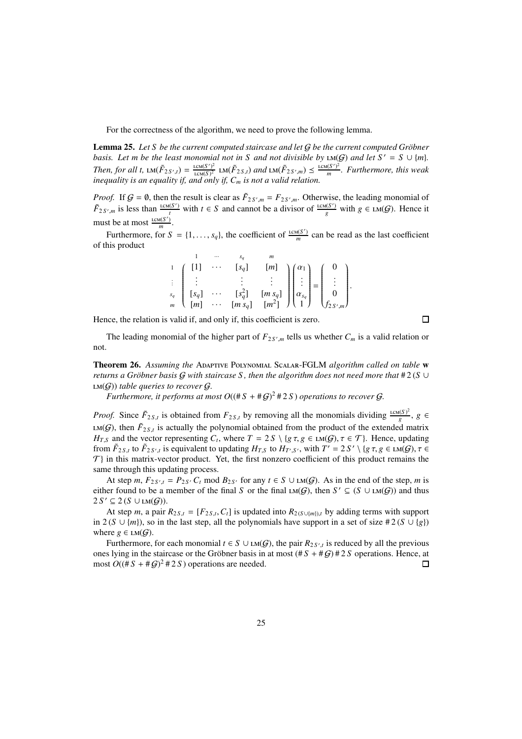For the correctness of the algorithm, we need to prove the following lemma.

**Lemma 25.** Let S be the current computed staircase and let G be the current computed Gröbner *basis. Let m be the least monomial not in S and not divisible by*  $LM(G)$  *and let*  $S' = S \cup \{m\}$ *. Then, for all t,*  $LM(\tilde{F}_{2S',t}) = \frac{LCM(S')^2}{LCM(S)^2}$   $LM(\tilde{F}_{2S,t})$  *and*  $LM(\tilde{F}_{2S',m}) \leq \frac{LCM(S')^2}{m}$ *m . Furthermore, this weak inequality is an equality if, and only if, C<sup>m</sup> is not a valid relation.*

*Proof.* If  $G = \emptyset$ , then the result is clear as  $\tilde{F}_{2S',m} = F_{2S',m}$ . Otherwise, the leading monomial of  $\tilde{F}_{2S',m}$  is less than  $\frac{\text{lcm}(S')}{t}$  with  $t \in S$  and cannot be a divisor of  $\frac{\text{lcm}(S')}{g}$  with  $g \in \text{lcm}(G)$ . Hence it must be at most  $\frac{\text{lcm}(S')}{m}$ .

Furthermore, for  $S = \{1, \ldots, s_q\}$ , the coefficient of  $\frac{\text{lcm}(S')}{m}$  can be read as the last coefficient of this product

|  |  |  | $\begin{array}{c} \begin{array}{cccc} 1 \\ \vdots \\ s_q \end{array} & \begin{array}{cccc} \begin{bmatrix} 1 \\ \vdots \\ s_q \end{bmatrix} & \cdots & \begin{bmatrix} s_q \end{bmatrix} & \begin{bmatrix} m \end{bmatrix} \\ \begin{bmatrix} s_q \\ \vdots \\ s_q \end{bmatrix} & \begin{bmatrix} m & s_q \end{bmatrix} & \begin{bmatrix} \alpha_1 \\ \vdots \\ \alpha_{s_q} \end{bmatrix} = \begin{pmatrix} 0 \\ \vdots \\ 0 \\ f_2 s', m \end{pmatrix}. \\ m & \begin{bmatrix} m & m & m^2 \end{bmatrix} & \begin{bmatrix} m^2 \end$ |
|--|--|--|-----------------------------------------------------------------------------------------------------------------------------------------------------------------------------------------------------------------------------------------------------------------------------------------------------------------------------------------------------------------------------------------------------------------------------------------------------------------------------------------------------------------------------------------|
|  |  |  |                                                                                                                                                                                                                                                                                                                                                                                                                                                                                                                                         |
|  |  |  |                                                                                                                                                                                                                                                                                                                                                                                                                                                                                                                                         |

Hence, the relation is valid if, and only if, this coefficient is zero.

 $\Box$ 

The leading monomial of the higher part of  $F_{2, S', m}$  tells us whether  $C_m$  is a valid relation or not.

Theorem 26. *Assuming the* Adaptive Polynomial Scalar-FGLM *algorithm called on table* w *returns a Gröbner basis G with staircase S, then the algorithm does not need more that*  $#2(S \cup$  $LM(G)$ *) table queries to recover G.* 

*Furthermore, it performs at most O* $((\#S + \#G)^2 \# 2S)$  *operations to recover* G.

*Proof.* Since  $\tilde{F}_{2S,t}$  is obtained from  $F_{2S,t}$  by removing all the monomials dividing  $\frac{LCM(S)^2}{g}$ *g* , *g* ∈ LM( $G$ ), then  $\tilde{F}_{2S,t}$  is actually the polynomial obtained from the product of the extended matrix *H*<sub>*T*</sub>,*S* and the vector representing  $C_t$ , where  $T = 2S \setminus {g \tau, g \in LM(G), \tau \in \mathcal{T}}$ . Hence, updating from  $\tilde{F}_{2S,t}$  to  $\tilde{F}_{2S',t}$  is equivalent to updating  $H_{T,S}$  to  $H_{T',S'}$ , with  $T' = 2S' \setminus {g \tau, g \in \text{LM}(G), \tau \in \mathbb{C}}$  $\mathcal{T}$ } in this matrix-vector product. Yet, the first nonzero coefficient of this product remains the same through this updating process.

At step *m*,  $F_{2S',t} = P_{2S'} C_t \mod B_{2S'}$  for any  $t \in S \cup \text{LM}(G)$ . As in the end of the step, *m* is either found to be a member of the final *S* or the final  $LM(G)$ , then  $S' \subseteq (S \cup LM(G))$  and thus  $2 S' \subseteq 2 (S \cup LM(\mathcal{G}))$ .

At step *m*, a pair  $R_{2S,t} = [F_{2S,t}, C_t]$  is updated into  $R_{2(S \cup \{m\}),t}$  by adding terms with support in 2 (*S* ∪ {*m*}), so in the last step, all the polynomials have support in a set of size # 2 (*S* ∪ {*g*}) where  $g \in LM(G)$ .

Furthermore, for each monomial  $t \in S \cup LM(G)$ , the pair  $R_{2S',t}$  is reduced by all the previous ones lying in the staircase or the Gröbner basis in at most  $(\#S + \#G) \#2S$  operations. Hence, at most  $O((\#S + \#G)^2 \# 2S)$  operations are needed.  $\Box$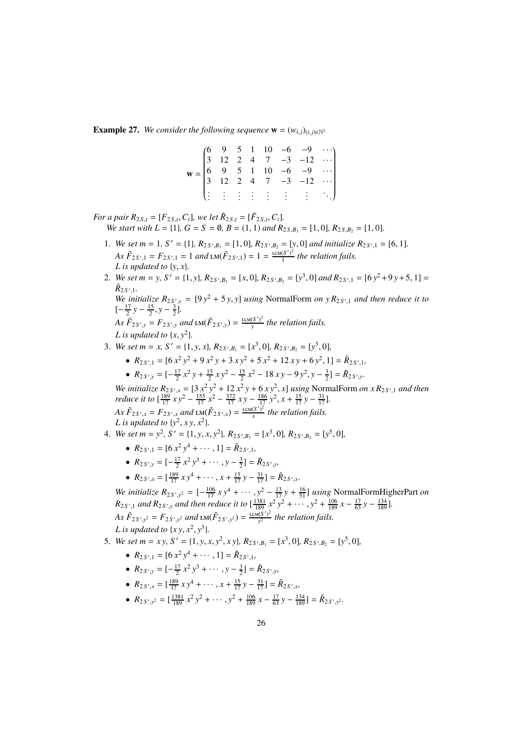**Example 27.** *We consider the following sequence*  $\mathbf{w} = (w_{i,j})_{(i,j) \in \mathbb{N}^2}$ 

| $\mathbf{w} = \begin{pmatrix} 6 & 9 & 5 & 1 & 10 & -6 & -9 & \cdots \\ 3 & 12 & 2 & 4 & 7 & -3 & -12 & \cdots \\ 6 & 9 & 5 & 1 & 10 & -6 & -9 & \cdots \\ 3 & 12 & 2 & 4 & 7 & -3 & -12 & \cdots \end{pmatrix}$ |  |  |  |                                                                          |  |
|-----------------------------------------------------------------------------------------------------------------------------------------------------------------------------------------------------------------|--|--|--|--------------------------------------------------------------------------|--|
|                                                                                                                                                                                                                 |  |  |  |                                                                          |  |
|                                                                                                                                                                                                                 |  |  |  |                                                                          |  |
|                                                                                                                                                                                                                 |  |  |  |                                                                          |  |
|                                                                                                                                                                                                                 |  |  |  | $\left(\begin{smallmatrix}1&1&1&1&1&1&1&1&1&1&1\end{smallmatrix}\right)$ |  |

*For a pair*  $R_{2S,t} = [F_{2S,t}, C_t]$ *, we let*  $\tilde{R}_{2S,t} = [\tilde{F}_{2S,t}, C_t]$ *. We start with L* = {1}*, G* = *S* =  $\emptyset$ *, B* = (1*,* 1*) and*  $R_{2S,B_1}$  = [1*,* 0*]*,  $R_{2S,B_2}$  = [1*,* 0*]*.

- 1. We set  $m = 1$ ,  $S' = \{1\}$ ,  $R_{2S',B_1} = [1,0]$ ,  $R_{2S',B_2} = [y,0]$  *and initialize*  $R_{2S',1} = [6,1]$ *. As*  $\tilde{F}_{2S',1} = F_{2S',1} = 1$  *and*  $\text{LM}(\tilde{F}_{2S',1}) = 1 = \frac{\text{lcm}(S')^2}{1}$  $\frac{(S')^2}{1}$  the relation fails. *L* is updated to  $\{y, x\}$ .
- 2. *We set m* = *y*, *S'* = {1, *y*},  $R_{2S',B_1} = [x, 0]$ ,  $R_{2S',B_2} = [y^3, 0]$  and  $R_{2S',1} = [6y^2 + 9y + 5, 1] =$  $\tilde{R}_{2S',1}$ .

*We initialize*  $R_{2S',y} = [9y^2 + 5y, y]$  *using* NormalForm *on*  $yR_{2S',1}$  *and then reduce it to*  $\left[-\frac{17}{2}y - \frac{15}{2}, y - \frac{3}{2}\right]$ .

*As*  $\tilde{F}_{2S',y} = F_{2S',y}$  and  $\text{LM}(\tilde{F}_{2S',y}) = \frac{\text{lcm}(S')^2}{v}$ *y the relation fails. L* is updated to  $\{x, y^2\}$ *.* 

- 3. *We set m* = *x*,  $S' = \{1, y, x\}$ ,  $R_{2S', B_1} = [x^3, 0]$ ,  $R_{2S', B_2} = [y^3, 0]$ ,
	- $R_{2S',1} = [6x^2y^2 + 9x^2y + 3xy^2 + 5x^2 + 12xy + 6y^2, 1] = \tilde{R}_{2S',1}$ •  $R_{2S',y} = \left[-\frac{17}{2}x^2y + \frac{15}{2}xy^2 - \frac{15}{2}x^2 - 18xy - 9y^2, y - \frac{3}{2}\right] = \tilde{R}_{2S',y}$ .

*We initialize*  $R_{2S',x} = [3 x^2 y^2 + 12 x^2 y + 6 xy^2, x]$  *using* NormalForm *on*  $x R_{2S',1}$  *and then reduce it to*  $\left[\frac{189}{17} x y^2 - \frac{155}{17} x^2 - \frac{372}{17} x y - \frac{186}{17} y^2, x + \frac{15}{17} y - \frac{31}{17}\right]$ . *As*  $\tilde{F}_{2S',x} = F_{2S',x}$  and  $\text{LM}(\tilde{F}_{2S',x}) = \frac{\text{lcm}(S')^2}{x}$  $\frac{(S')^2}{x}$  the relation fails. *L* is updated to  $\{y^2, xy, x^2\}$ *.* 

4. *We set*  $m = y^2$ ,  $S' = \{1, y, x, y^2\}$ ,  $R_{2S', B_1} = [x^3, 0]$ ,  $R_{2S', B_2} = [y^5, 0]$ ,

- $R_{2S',1} = [6x^2y^4 + \cdots, 1] = \tilde{R}_{2S',1}$
- $R_{2S',y} = [-\frac{17}{2}x^2y^3 + \cdots, y \frac{3}{2}] = \tilde{R}_{2S',y}$
- $R_{2S',x} = \left[\frac{189}{17} x y^4 + \cdots, x + \frac{15}{17} y \frac{31}{17}\right] = \tilde{R}_{2S',x}.$

*We initialize*  $R_{2.5',y^2} = \left[-\frac{106}{17} x y^4 + \cdots, y^2 - \frac{13}{17} y + \frac{16}{51}\right]$  *using* NormalFormHigherPart *on*  $R_{2S',1}$  *and*  $R_{2S',y}$  *and then reduce it to*  $\left[\frac{1381}{189}x^2y^2 + \cdots, y^2 + \frac{106}{189}x - \frac{17}{63}y - \frac{134}{189}\right]$ . *As*  $\tilde{F}_{2S',y^2} = F_{2S',y^2}$  and  $\text{LM}(\tilde{F}_{2S',y^2}) = \frac{\text{LCM}(S')^2}{y^2}$  $\frac{f(S')^2}{y^2}$  the relation fails. *L* is updated to  $\{xy, x^2, y^3\}$ *.* 

5. *We set m* = *xy*,  $S' = \{1, y, x, y^2, xy\}$ ,  $R_{2S',B_1} = [x^3, 0]$ ,  $R_{2S',B_2} = [y^5, 0]$ ,

- $R_{2S',1} = [6x^2y^4 + \cdots, 1] = \tilde{R}_{2S',1},$
- $R_{2S',y} = [-\frac{17}{2}x^2y^3 + \cdots, y \frac{3}{2}] = \tilde{R}_{2S',y}$
- $R_{2S',x} = \left[\frac{189}{17} x y^4 + \cdots, x + \frac{15}{17} y \frac{31}{17}\right] = \tilde{R}_{2S',x}$
- $R_{2S',y^2} = \left[\frac{1381}{189}x^2y^2 + \cdots, y^2 + \frac{106}{189}x \frac{17}{63}y \frac{134}{189}\right] = \tilde{R}_{2S',y^2}.$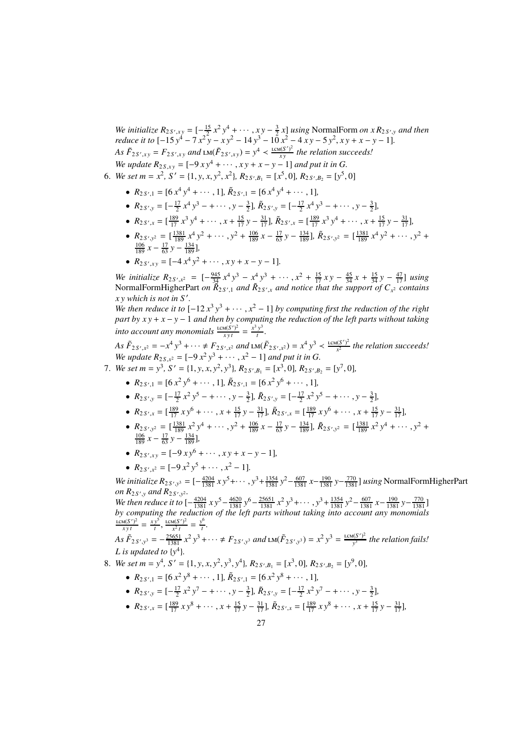*We initialize*  $R_{2S',xy} = \begin{bmatrix} -\frac{15}{2}x^2y^4 + \cdots, xy - \frac{3}{2}x \end{bmatrix}$  *using* NormalForm *on x*  $R_{2S',y}$  *and then reduce it to*  $[-15y^4 - 7x^2y - xy^2 - 14y^3 - 10x^2 - 4xy - 5y^2, xy + x - y - 1]$ . *As*  $\tilde{F}_{2S',xy} = F_{2S',xy}$  and  $\text{LM}(\tilde{F}_{2S',xy}) = y^4 < \frac{\text{lcm}(S')^2}{xy}$ *x y the relation succeeds! We update*  $R_{2S,xy} = [-9xy^4 + \cdots, xy + x - y - 1]$  *and put it in G.* 

- 6. *We set m* =  $x^2$ ,  $S' = \{1, y, x, y^2, x^2\}$ ,  $R_{2S', B_1} = [x^5, 0]$ ,  $R_{2S', B_2} = [y^5, 0]$ 
	- $R_{2S',1} = [6 x^4 y^4 + \cdots, 1]$ ,  $\tilde{R}_{2S',1} = [6 x^4 y^4 + \cdots, 1]$ ,
	- $R_{2S',y} = [-\frac{17}{2}x^4y^3 + \cdots, y \frac{3}{2}], \tilde{R}_{2S',y} = [-\frac{17}{2}x^4y^3 + \cdots, y \frac{3}{2}],$
	- $R_{2S',x} = \left[\frac{189}{17}x^3y^4 + \cdots, x + \frac{15}{17}y \frac{31}{17}\right], \tilde{R}_{2S',x} = \left[\frac{189}{17}x^3y^4 + \cdots, x + \frac{15}{17}y \frac{31}{17}\right],$
	- $R_{2S',y^2} = \left[\frac{1381}{189}x^4y^2 + \cdots\right)y^2 + \frac{106}{189}x \frac{17}{63}y \frac{134}{189}\right], \tilde{R}_{2S',y^2} = \left[\frac{1381}{189}x^4y^2 + \cdots\right)y^2 +$  $\frac{106}{189} x - \frac{17}{63} y - \frac{134}{189}$
	- $R_{2S',xy} = [-4x^4y^2 + \cdots, xy + x y 1].$

*We initialize*  $R_{2S',x^2} = \left[ -\frac{945}{34} x^4 y^3 - x^4 y^3 + \cdots, x^2 + \frac{15}{17} xy - \frac{45}{34} x + \frac{15}{34} y - \frac{47}{17} \right]$  *<i>using* NormalFormHigherPart *on*  $\tilde{R}_{2S',1}$  *and*  $\tilde{R}_{2S',x}$  *and notice that the support of*  $C_{x^2}$  *contains x y which is not in S* ′ *.*

*We then reduce it to*  $[-12x^3y^3 + \cdots, x^2 - 1]$  *by computing first the reduction of the right part by x y* + *x* − *y* − 1 *and then by computing the reduction of the left parts without taking into account any monomials*  $\frac{\text{LCM}(S')^2}{xyt} = \frac{x^3 y^3}{t}$ *t .*

 $As \tilde{F}_{2S',x^2} = -x^4 y^3 + \cdots \neq F_{2S',x^2} \text{ and } \text{LM}(\tilde{F}_{2S',x^2}) = x^4 y^3 < \frac{\text{lcm}(S')^2}{x^2}$ *x* 2 *the relation succeeds! We update*  $R_{2S, x^2} = [-9x^2y^3 + \cdots, x^2 - 1]$  *and put it in G.* 

- 7. *We set*  $m = y^3$ ,  $S' = \{1, y, x, y^2, y^3\}$ ,  $R_{2S', B_1} = [x^3, 0]$ ,  $R_{2S', B_2} = [y^7, 0]$ ,
	- $R_{2S',1} = [6 \, x^2 \, y^6 + \cdots, 1]$ ,  $\tilde{R}_{2S',1} = [6 \, x^2 \, y^6 + \cdots, 1]$ ,
	- $R_{2S',y} = [-\frac{17}{2}x^2y^5 + \cdots, y \frac{3}{2}], \tilde{R}_{2S',y} = [-\frac{17}{2}x^2y^5 + \cdots, y \frac{3}{2}],$
	- $R_{2S',x} = \left[\frac{189}{17} x y^6 + \cdots, x + \frac{15}{17} y \frac{31}{17}\right], \tilde{R}_{2S',x} = \left[\frac{189}{17} x y^6 + \cdots, x + \frac{15}{17} y \frac{31}{17}\right],$
	- $R_{2,5',y^2} = \left[\frac{1381}{189}x^2y^4 + \cdots, y^2 + \frac{106}{189}x \frac{17}{63}y \frac{134}{189}\right], \tilde{R}_{2,5',y^2} = \left[\frac{1381}{189}x^2y^4 + \cdots, y^2 + \frac{134}{189}x^2y^4 + \cdots\right]$  $\frac{106}{189} x - \frac{17}{63} y - \frac{134}{189}$
	- $R_{2S',xy} = [-9xy^6 + \cdots, xy + x y 1]$ ,
	- $R_{2S',x^2} = [-9x^2y^5 + \cdots, x^2 1].$

*We initialize*  $R_{2 S', y^3} = [-\frac{4204}{1381} x y^5 + \cdots, y^3 + \frac{1354}{1381} y^2 - \frac{607}{1381} x - \frac{190}{1381} y - \frac{770}{1381} x$  *using* NormalFormHigherPart *on*  $R_{2S',y}$  and  $R_{2S',y^2}$ .

*We then reduce it to*  $\left[-\frac{4204}{1381} \times y^5 - \frac{4620}{1381} \right. y^6 - \frac{25651}{1381} \times^2 y^3 + \cdots, y^3 + \frac{1354}{1381} \right. y^2 - \frac{607}{1381} \times^2 y^3 - \frac{190}{1381} \cdot y^2 - \frac{770}{1381} \cdot y^3 + \cdots$ *by computing the reduction of the left parts without taking into account any monomials*  $\frac{\text{lcm}(S')^2}{xyt} = \frac{xy^5}{t}$  $\frac{y^5}{t}$ ,  $\frac{\text{lcm}(S')^2}{x^2 t}$  $\frac{u(S')^2}{x^2 t} = \frac{y^6}{t}$  $\frac{t}{t}$ .

 $As \tilde{F}_{2S',y^3} = -\frac{25651}{1381} x^2 y^3 + \cdots \neq F_{2S',y^3} \text{ and } \text{LM}(\tilde{F}_{2S',y^3}) = x^2 y^3 = \frac{\text{LCM}(S')^2}{y^3}$ *y* 3 *the relation fails! L* is updated to  $\{y^4\}$ .

- 8. *We set m* =  $y^4$ , *S'* = {1, *y*, *x*, *y*<sup>2</sup>, *y*<sup>3</sup>, *y*<sup>4</sup>}, *R*<sub>2*S'*, *B*<sub>1</sub></sub> = [ $x^3$ , 0], *R*<sub>2*S'*, *B*<sub>2</sub> = [ $y^9$ , 0],</sub>
	- $R_{2S',1} = [6 \times 2 \times 8 + \cdots, 1], \tilde{R}_{2S',1} = [6 \times 2 \times 8 + \cdots, 1],$
	- $R_{2S',y} = [-\frac{17}{2}x^2y^7 + \cdots, y \frac{3}{2}], \tilde{R}_{2S',y} = [-\frac{17}{2}x^2y^7 + \cdots, y \frac{3}{2}],$
	- $R_{2S',x} = \left[\frac{189}{17}xy^8 + \cdots, x + \frac{15}{17}y \frac{31}{17}\right], \tilde{R}_{2S',x} = \left[\frac{189}{17}xy^8 + \cdots, x + \frac{15}{17}y \frac{31}{17}\right],$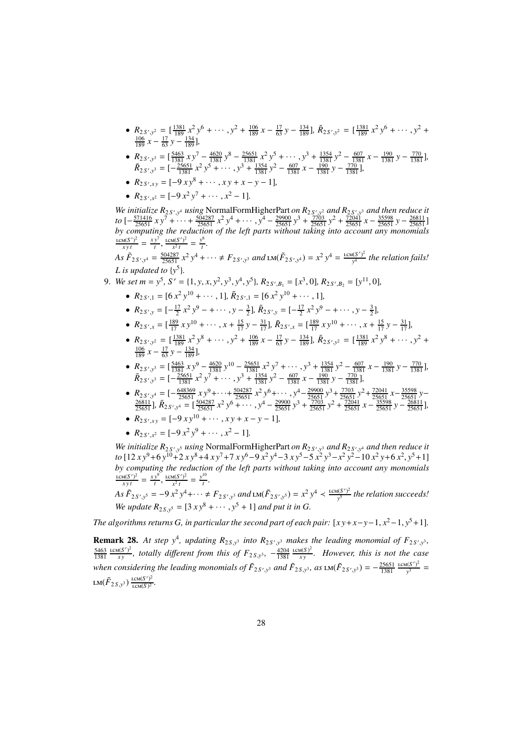- $R_{2S',y^2} = \left[\frac{1381}{189}x^2y^6 + \cdots, y^2 + \frac{106}{189}x \frac{17}{63}y \frac{134}{189}\right], \tilde{R}_{2S',y^2} = \left[\frac{1381}{189}x^2y^6 + \cdots, y^2 + \frac{134}{189}x^2y^6 + \cdots\right]$  $\frac{106}{189} x - \frac{17}{63} y - \frac{134}{189}$
- $R_{2,5',y^3} = \left[\frac{5463}{1381} \times y^7 \frac{4620}{1381} y^8 \frac{25651}{1381} x^2 y^5 + \cdots \right]$ ,  $y^3 + \frac{1354}{1381} y^2 \frac{607}{1381} x \frac{190}{1381} y \frac{770}{1381}$ ,  $\tilde{R}_{2S',y^3} = \left[ -\frac{25651}{1381} x^2 y^5 + \cdots, y^3 + \frac{1354}{1381} y^2 - \frac{607}{1381} x - \frac{190}{1381} y - \frac{770}{1381} \right],$
- $R_{2S',xy} = [-9xy^8 + \cdots, xy + x y 1]$ ,
- $R_{2S',x^2} = [-9x^2y^7 + \cdots, x^2 1].$

We initialize  $R_{2S',y^4}$  using NormalFormHigherPart *on*  $R_{2S',y^2}$  and  $R_{2S',y^3}$  and then reduce it  $to \left[-\frac{571416}{25651} x y^7 + \cdots + \frac{504287}{25651} x^2 y^4 + \cdots, y^4 - \frac{29900}{25651} y^3 + \frac{7703}{25651} y^2 + \frac{72041}{25651} x - \frac{35598}{25651} y - \frac{26811}{25651} \right]$ *by computing the reduction of the left parts without taking into account any monomials*  $\frac{\text{lcm}(S')^2}{xyt} = \frac{xy^7}{t}$  $\frac{y^7}{t}$ ,  $\frac{\text{lcm}(S')^2}{x^2 t}$  $\frac{u(S')^2}{x^2 t} = \frac{y^8}{t}$ *t .*

As  $\tilde{F}_{2S',y^4} = \frac{504287}{25651} x^2 y^4 + \cdots \neq F_{2S',y^3}$  and  $\text{LM}(\tilde{F}_{2S',y^4}) = x^2 y^4 = \frac{\text{LCM}(S')^2}{y^4}$ *y* 4 *the relation fails! L* is updated to  $\{y^5\}$ .

9. We set 
$$
m = y^5
$$
,  $S' = \{1, y, x, y^2, y^3, y^4, y^5\}$ ,  $R_{2S',B_1} = [x^3, 0]$ ,  $R_{2S',B_2} = [y^{11}, 0]$ ,

- $R_{2S',1} = [6x^2y^{10} + \cdots, 1], \tilde{R}_{2S',1} = [6x^2y^{10} + \cdots, 1],$
- $R_{2S',y} = [-\frac{17}{2}x^2y^9 + \cdots, y \frac{3}{2}], \tilde{R}_{2S',y} = [-\frac{17}{2}x^2y^9 + \cdots, y \frac{3}{2}],$
- $R_{2S',x} = \left[\frac{189}{17}xy^{10} + \cdots, x + \frac{15}{17}y \frac{31}{17}\right], \tilde{R}_{2S',x} = \left[\frac{189}{17}xy^{10} + \cdots, x + \frac{15}{17}y \frac{31}{17}\right],$ 2 *S*
- $R_{2S',y^2} = \left[\frac{1381}{189}x^2y^8 + \cdots\right)y^2 + \frac{106}{189}x \frac{17}{63}y \frac{134}{189}\right], \tilde{R}_{2S',y^2} = \left[\frac{1381}{189}x^2y^8 + \cdots\right)y^2 +$  $\frac{106}{189} x - \frac{17}{63} y - \frac{134}{189}$
- $R_{2,5',y^3} = \left[\frac{5463}{1381} \times y^9 \frac{4620}{1381} y^{10} \frac{25651}{1381} \times^2 y^7 + \cdots \right]$ ,  $y^3 + \frac{1354}{1381} y^2 \frac{607}{1381} x \frac{190}{1381} y \frac{770}{1381}$ ,  $\tilde{R}_{2S',y^3} = \left[ -\frac{25651}{1381} x^2 y^7 + \cdots, y^3 + \frac{1354}{1381} y^2 - \frac{607}{1381} x - \frac{190}{1381} y - \frac{770}{1381} \right],$
- $R_{2.5',y^4} = \left[-\frac{648369}{25651} x y^9 + \cdots + \frac{504287}{25651} x^2 y^6 + \cdots \right] y^4 \frac{29900}{25651} y^3 + \frac{7703}{25651} y^2 + \frac{72041}{25651} x \frac{35598}{25651} y \frac{26811}{25651} \right]$ <br>  $\frac{26811}{25651}$ ],  $\tilde{R}_{2.5',y^4} = \left[\frac{504287}{25651}$
- $R_{2S',xy} = [-9xy^{10} + \cdots, xy + x y 1]$ ,

• 
$$
R_{2S',x^2} = [-9x^2y^9 + \cdots, x^2 - 1].
$$

We initialize  $R_{2S',y}$  *using* NormalFormHigherPart on  $R_{2S',y}$  and  $R_{2S',y}$  and then reduce it *to* [12 *x* y<sup>9</sup> + 6 y<sup>10</sup> + 2 *x* y<sup>8</sup> + 4 *x* y<sup>7</sup> + 7 *x* y<sup>6</sup> − 9 *x*<sup>2</sup> y<sup>4</sup> − 3 *x* y<sup>5</sup> − 5 *x*<sup>2</sup> y<sup>3</sup> − *x*<sup>2</sup> y<sup>2</sup> − 10 *x*<sup>2</sup> y + 6 *x*<sup>2</sup>, y<sup>5</sup> + 1] *by computing the reduction of the left parts without taking into account any monomials*  $rac{\text{LCM}(S')^2}{xyt} = \frac{xy^9}{t}$  $\frac{y^9}{t}$ ,  $\frac{\text{lcm}(S')^2}{x^2 t}$  $\frac{u(S')^2}{x^2 t} = \frac{y^{10}}{t}$ *t .*

As 
$$
\tilde{F}_{2S',y^5} = -9x^2y^4 + \cdots \neq F_{2S',y^3}
$$
 and  $\text{LM}(\tilde{F}_{2S',y^5}) = x^2y^4 \leq \frac{\text{LCM}(S')^2}{y^5}$  the relation succeeds!  
We update  $R_{2S,y^5} = [3xy^8 + \cdots, y^5 + 1]$  and put it in G.

*The algorithms returns G, in particular the second part of each pair:*  $[x y + x - y - 1, x^2 - 1, y^5 + 1]$ *.* 

**Remark 28.** At step  $y^4$ , updating  $R_{2S,y^3}$  into  $R_{2S',y^3}$  makes the leading monomial of  $F_{2S',y^3}$ , 5463 1381  $LCM(S')^2$  $\frac{f_1(S')^2}{xy}$ , totally different from this of  $F_{2S,y^3}$ ,  $-\frac{4204}{1381}$  $LCM(S)^2$  $\frac{d(S)^2}{dy}$ . However, this is not the case *when considering the leading monomials of*  $F_{2S',y^3}$  *and*  $F_{2S,y^3}$ *, as*  $\text{LM}(\tilde{F}_{2S',y^3}) = -\frac{25651}{1381}$  $LCM(S')^2$  $\frac{f(S')^2}{y^3}$  = LM $(\tilde{F}_{2S,\mathcal{Y}^3})\frac{\text{\tiny LCM}(S')^2}{\text{\tiny LCM}(S)^2}$ *.*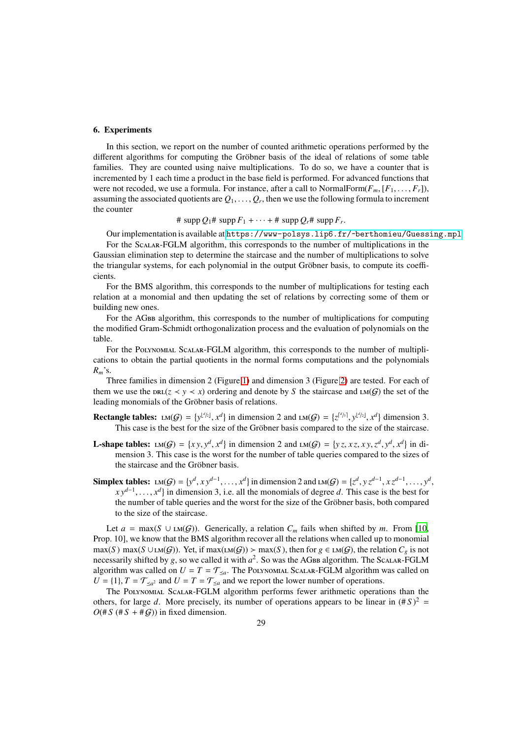#### 6. Experiments

In this section, we report on the number of counted arithmetic operations performed by the different algorithms for computing the Gröbner basis of the ideal of relations of some table families. They are counted using naive multiplications. To do so, we have a counter that is incremented by 1 each time a product in the base field is performed. For advanced functions that were not recoded, we use a formula. For instance, after a call to NormalForm $(F_m, [F_1, \ldots, F_r])$ , assuming the associated quotients are  $Q_1,\ldots,Q_r,$  then we use the following formula to increment the counter

# supp  $Q_1$  # supp  $F_1$  +  $\cdots$  + # supp  $Q_r$  # supp  $F_r$ .

Our implementation is available at <https://www-polsys.lip6.fr/~berthomieu/Guessing.mpl>.

For the Scalar-FGLM algorithm, this corresponds to the number of multiplications in the Gaussian elimination step to determine the staircase and the number of multiplications to solve the triangular systems, for each polynomial in the output Gröbner basis, to compute its coefficients.

For the BMS algorithm, this corresponds to the number of multiplications for testing each relation at a monomial and then updating the set of relations by correcting some of them or building new ones.

For the AGBB algorithm, this corresponds to the number of multiplications for computing the modified Gram-Schmidt orthogonalization process and the evaluation of polynomials on the table.

For the Polynomial Scalar-FGLM algorithm, this corresponds to the number of multiplications to obtain the partial quotients in the normal forms computations and the polynomials *Rm*'s.

Three families in dimension 2 (Figure 1) and dimension 3 (Figure 2) are tested. For each of them we use the  $DRL(z \le y \le x)$  ordering and denote by *S* the staircase and  $LM(G)$  the set of the leading monomials of the Gröbner basis of relations.

**Rectangle tables:**  $LM(G) = \{y^{\lfloor d/2 \rfloor}, x^d\}$  in dimension 2 and  $LM(G) = \{z^{\lceil d/3 \rceil}, y^{\lfloor d/2 \rfloor}, x^d\}$  dimension 3. This case is the best for the size of the Gröbner basis compared to the size of the staircase.

- **L**-shape tables:  $LM(G) = \{xy, y^d, x^d\}$  in dimension 2 and  $LM(G) = \{yz, xz, xy, z^d, y^d, x^d\}$  in dimension 3. This case is the worst for the number of table queries compared to the sizes of the staircase and the Gröbner basis.
- Simplex tables:  $LM(G) = \{y^d, xy^{d-1}, \ldots, x^d\}$  in dimension 2 and  $LM(G) = \{z^d, yz^{d-1}, xz^{d-1}, \ldots, y^d,$ *xy*<sup>*d*−1</sup>, ..., *x<sup>d</sup>*} in dimension 3, i.e. all the monomials of degree *d*. This case is the best for the number of table queries and the worst for the size of the Gröbner basis, both compared to the size of the staircase.

Let *a* = max(*S* ∪ LM(*G*)). Generically, a relation  $C_m$  fails when shifted by *m*. From [10, Prop. 10], we know that the BMS algorithm recover all the relations when called up to monomial  $\max(S) \max(S \cup \text{LM}(G))$ . Yet, if  $\max(\text{LM}(G)) > \max(S)$ , then for  $g \in \text{LM}(G)$ , the relation  $C_g$  is not necessarily shifted by *g*, so we called it with  $a^2$ . So was the AGBB algorithm. The Scalar-FGLM algorithm was called on  $U = T = \mathcal{T}_{\leq a}$ . The POLYNOMIAL SCALAR-FGLM algorithm was called on  $U = \{1\}$ ,  $T = \mathcal{T}_{\leq a^2}$  and  $U = T = \mathcal{T}_{\leq a}$  and we report the lower number of operations.

The Polynomial Scalar-FGLM algorithm performs fewer arithmetic operations than the others, for large *d*. More precisely, its number of operations appears to be linear in  $(\# S)^2$  =  $O(\# S (\# S + \# \mathcal{G}))$  in fixed dimension.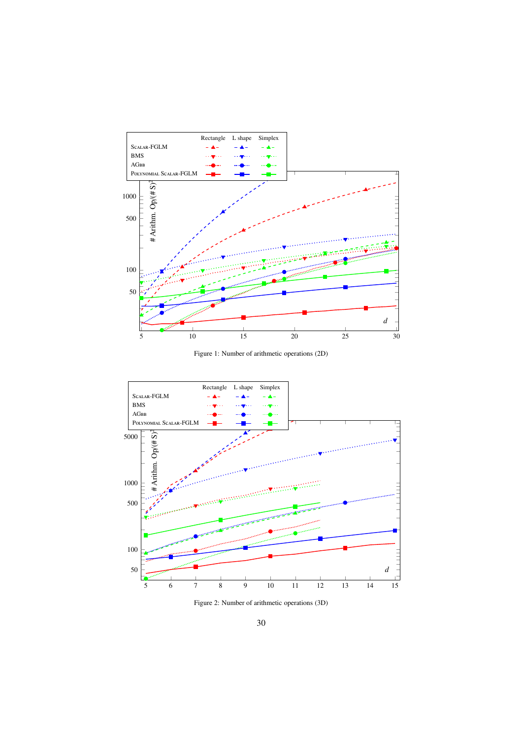

Figure 1: Number of arithmetic operations (2D)



Figure 2: Number of arithmetic operations (3D)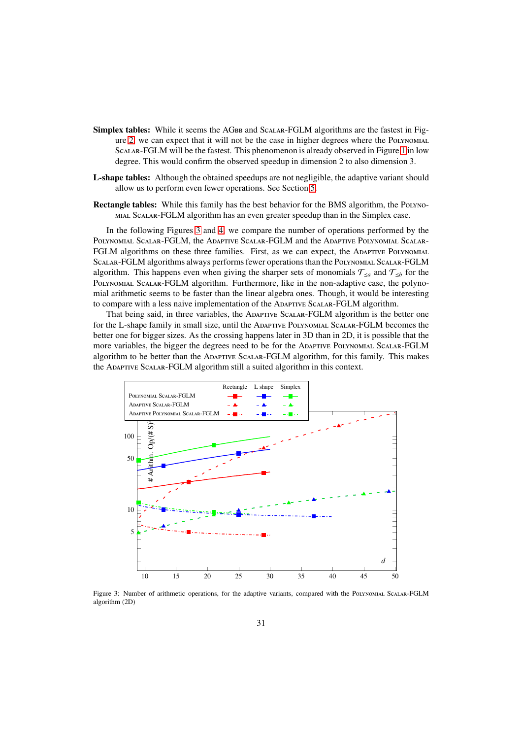- Simplex tables: While it seems the AGBB and SCALAR-FGLM algorithms are the fastest in Figure 2, we can expect that it will not be the case in higher degrees where the Polynomial Scalar-FGLM will be the fastest. This phenomenon is already observed in Figure 1 in low degree. This would confirm the observed speedup in dimension 2 to also dimension 3.
- L-shape tables: Although the obtained speedups are not negligible, the adaptive variant should allow us to perform even fewer operations. See Section 5.
- Rectangle tables: While this family has the best behavior for the BMS algorithm, the Polynomial Scalar-FGLM algorithm has an even greater speedup than in the Simplex case.

In the following Figures 3 and 4, we compare the number of operations performed by the Polynomial Scalar-FGLM, the Adaptive Scalar-FGLM and the Adaptive Polynomial Scalar-FGLM algorithms on these three families. First, as we can expect, the ADAPTIVE POLYNOMIAL Scalar-FGLM algorithms always performs fewer operations than the Polynomial Scalar-FGLM algorithm. This happens even when giving the sharper sets of monomials  $\mathcal{T}_{\leq a}$  and  $\mathcal{T}_{\leq b}$  for the Polynomial Scalar-FGLM algorithm. Furthermore, like in the non-adaptive case, the polynomial arithmetic seems to be faster than the linear algebra ones. Though, it would be interesting to compare with a less naive implementation of the Adaptive Scalar-FGLM algorithm.

That being said, in three variables, the Adaptive Scalar-FGLM algorithm is the better one for the L-shape family in small size, until the Adaptive Polynomial Scalar-FGLM becomes the better one for bigger sizes. As the crossing happens later in 3D than in 2D, it is possible that the more variables, the bigger the degrees need to be for the Adaptive Polynomial Scalar-FGLM algorithm to be better than the Adaptive Scalar-FGLM algorithm, for this family. This makes the Adaptive Scalar-FGLM algorithm still a suited algorithm in this context.



Figure 3: Number of arithmetic operations, for the adaptive variants, compared with the Polynomial Scalar-FGLM algorithm (2D)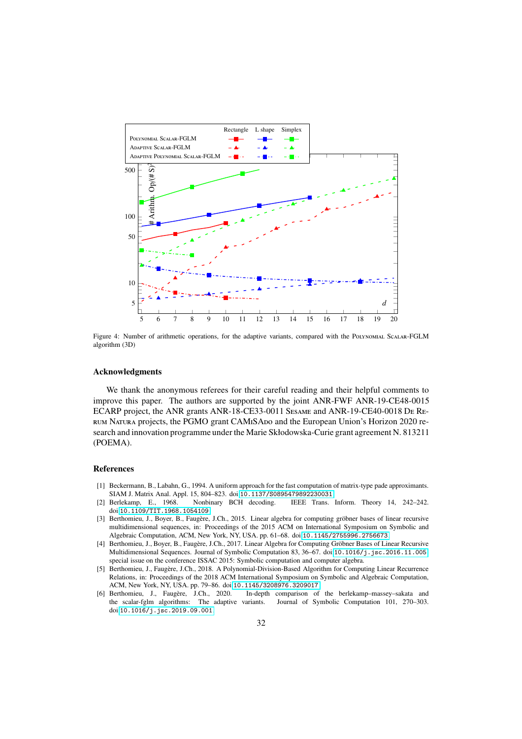

Figure 4: Number of arithmetic operations, for the adaptive variants, compared with the Polynomial Scalar-FGLM algorithm (3D)

#### Acknowledgments

We thank the anonymous referees for their careful reading and their helpful comments to improve this paper. The authors are supported by the joint ANR-FWF ANR-19-CE48-0015 ECARP project, the ANR grants ANR-18-CE33-0011 Sesame and ANR-19-CE40-0018 De Rerum Natura projects, the PGMO grant CAMiSAdo and the European Union's Horizon 2020 research and innovation programme under the Marie Skłodowska-Curie grant agreement N. 813211 (POEMA).

#### References

- [1] Beckermann, B., Labahn, G., 1994. A uniform approach for the fast computation of matrix-type pade approximants. SIAM J. Matrix Anal. Appl. 15, 804–823. doi:[10.1137/S0895479892230031](http://dx.doi.org/10.1137/S0895479892230031).
- [2] Berlekamp, E., 1968. Nonbinary BCH decoding. IEEE Trans. Inform. Theory 14, 242–242. doi:[10.1109/TIT.1968.1054109](http://dx.doi.org/10.1109/TIT.1968.1054109).
- [3] Berthomieu, J., Boyer, B., Faugère, J.Ch., 2015. Linear algebra for computing gröbner bases of linear recursive multidimensional sequences, in: Proceedings of the 2015 ACM on International Symposium on Symbolic and Algebraic Computation, ACM, New York, NY, USA. pp. 61–68. doi:[10.1145/2755996.2756673](http://dx.doi.org/10.1145/2755996.2756673).
- [4] Berthomieu, J., Boyer, B., Faugère, J.Ch., 2017. Linear Algebra for Computing Gröbner Bases of Linear Recursive Multidimensional Sequences. Journal of Symbolic Computation 83, 36–67. doi:[10.1016/j.jsc.2016.11.005](http://dx.doi.org/10.1016/j.jsc.2016.11.005). special issue on the conference ISSAC 2015: Symbolic computation and computer algebra.
- [5] Berthomieu, J., Faugère, J.Ch., 2018. A Polynomial-Division-Based Algorithm for Computing Linear Recurrence Relations, in: Proceedings of the 2018 ACM International Symposium on Symbolic and Algebraic Computation, ACM, New York, NY, USA. pp. 79–86. doi:[10.1145/3208976.3209017](http://dx.doi.org/10.1145/3208976.3209017).
- [6] Berthomieu, J., Faugère, J.Ch., 2020. In-depth comparison of the berlekamp–massey–sakata and the scalar-fglm algorithms: The adaptive variants. Journal of Symbolic Computation 101, 270–303. doi:[10.1016/j.jsc.2019.09.001](http://dx.doi.org/10.1016/j.jsc.2019.09.001).